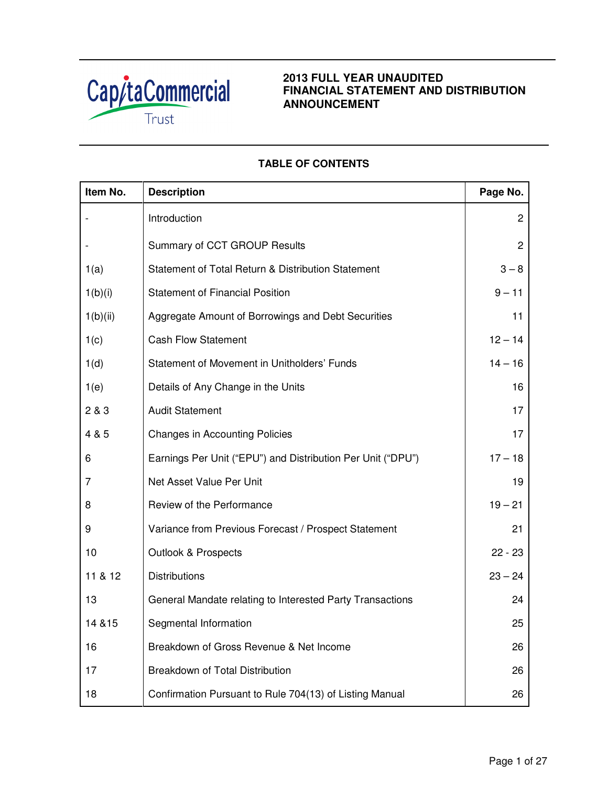

# **2013 FULL YEAR UNAUDITED FINANCIAL STATEMENT AND DISTRIBUTION ANNOUNCEMENT**

# **TABLE OF CONTENTS**

| Item No. | <b>Description</b>                                          | Page No.       |
|----------|-------------------------------------------------------------|----------------|
|          | Introduction                                                | $\overline{c}$ |
|          | Summary of CCT GROUP Results                                | $\overline{2}$ |
| 1(a)     | Statement of Total Return & Distribution Statement          | $3 - 8$        |
| 1(b)(i)  | <b>Statement of Financial Position</b>                      | $9 - 11$       |
| 1(b)(ii) | Aggregate Amount of Borrowings and Debt Securities          | 11             |
| 1(c)     | <b>Cash Flow Statement</b>                                  | $12 - 14$      |
| 1(d)     | Statement of Movement in Unitholders' Funds                 | $14 - 16$      |
| 1(e)     | Details of Any Change in the Units                          | 16             |
| 2 & 3    | <b>Audit Statement</b>                                      | 17             |
| 4 & 5    | <b>Changes in Accounting Policies</b>                       | 17             |
| 6        | Earnings Per Unit ("EPU") and Distribution Per Unit ("DPU") | $17 - 18$      |
| 7        | Net Asset Value Per Unit                                    | 19             |
| 8        | Review of the Performance                                   | $19 - 21$      |
| 9        | Variance from Previous Forecast / Prospect Statement        | 21             |
| 10       | <b>Outlook &amp; Prospects</b>                              | $22 - 23$      |
| 11 & 12  | <b>Distributions</b>                                        | $23 - 24$      |
| 13       | General Mandate relating to Interested Party Transactions   | 24             |
| 14 & 15  | Segmental Information                                       | 25             |
| 16       | Breakdown of Gross Revenue & Net Income                     | 26             |
| 17       | Breakdown of Total Distribution                             | 26             |
| 18       | Confirmation Pursuant to Rule 704(13) of Listing Manual     | 26             |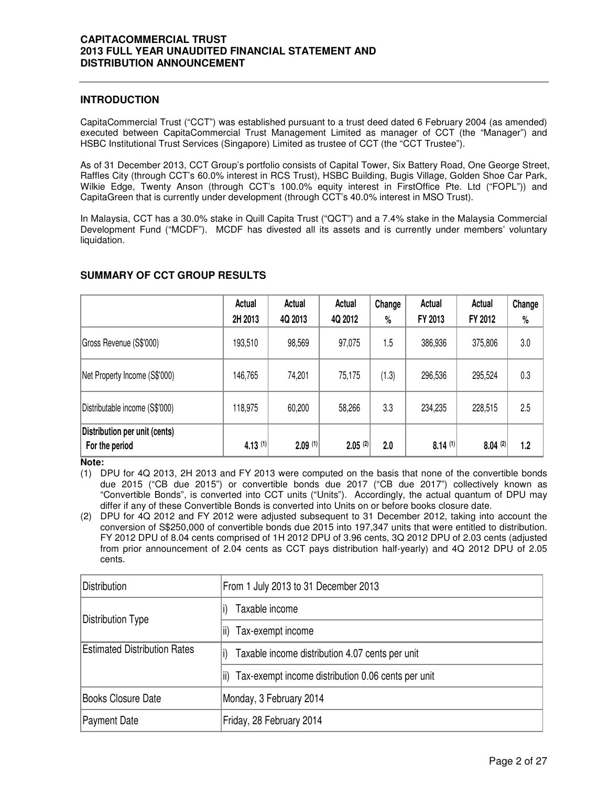## **INTRODUCTION**

CapitaCommercial Trust ("CCT") was established pursuant to a trust deed dated 6 February 2004 (as amended) executed between CapitaCommercial Trust Management Limited as manager of CCT (the "Manager") and HSBC Institutional Trust Services (Singapore) Limited as trustee of CCT (the "CCT Trustee").

As of 31 December 2013, CCT Group's portfolio consists of Capital Tower, Six Battery Road, One George Street, Raffles City (through CCT's 60.0% interest in RCS Trust), HSBC Building, Bugis Village, Golden Shoe Car Park, Wilkie Edge, Twenty Anson (through CCT's 100.0% equity interest in FirstOffice Pte. Ltd ("FOPL")) and CapitaGreen that is currently under development (through CCT's 40.0% interest in MSO Trust).

In Malaysia, CCT has a 30.0% stake in Quill Capita Trust ("QCT") and a 7.4% stake in the Malaysia Commercial Development Fund ("MCDF"). MCDF has divested all its assets and is currently under members' voluntary liquidation.

|                                                 | Actual<br>2H 2013 | Actual<br>4Q 2013 | Actual<br>4Q 2012     | Change<br>% | Actual<br>FY 2013 | Actual<br>FY 2012 | Change<br>$\%$ |
|-------------------------------------------------|-------------------|-------------------|-----------------------|-------------|-------------------|-------------------|----------------|
| Gross Revenue (S\$'000)                         | 193,510           | 98,569            | 97,075                | 1.5         | 386,936           | 375,806           | 3.0            |
| Net Property Income (S\$'000)                   | 146,765           | 74,201            | 75,175                | (1.3)       | 296,536           | 295,524           | 0.3            |
| Distributable income (S\$'000)                  | 118,975           | 60,200            | 58,266                | 3.3         | 234,235           | 228,515           | 2.5            |
| Distribution per unit (cents)<br>For the period | $4.13$ (1)        | $2.09$ (1)        | $2.05$ <sup>(2)</sup> | 2.0         | $8.14$ (1)        | 8.04(2)           | 1.2            |

## **SUMMARY OF CCT GROUP RESULTS**

#### **Note:**

(1) DPU for 4Q 2013, 2H 2013 and FY 2013 were computed on the basis that none of the convertible bonds due 2015 ("CB due 2015") or convertible bonds due 2017 ("CB due 2017") collectively known as "Convertible Bonds", is converted into CCT units ("Units"). Accordingly, the actual quantum of DPU may differ if any of these Convertible Bonds is converted into Units on or before books closure date.

(2) DPU for 4Q 2012 and FY 2012 were adjusted subsequent to 31 December 2012, taking into account the conversion of S\$250,000 of convertible bonds due 2015 into 197,347 units that were entitled to distribution. FY 2012 DPU of 8.04 cents comprised of 1H 2012 DPU of 3.96 cents, 3Q 2012 DPU of 2.03 cents (adjusted from prior announcement of 2.04 cents as CCT pays distribution half-yearly) and 4Q 2012 DPU of 2.05 cents.

| <b>Distribution</b>                 | From 1 July 2013 to 31 December 2013                        |
|-------------------------------------|-------------------------------------------------------------|
|                                     | Taxable income                                              |
| Distribution Type                   | Tax-exempt income<br>lii).                                  |
| <b>Estimated Distribution Rates</b> | Taxable income distribution 4.07 cents per unit             |
|                                     | Tax-exempt income distribution 0.06 cents per unit<br>lii). |
| <b>Books Closure Date</b>           | Monday, 3 February 2014                                     |
| <b>Payment Date</b>                 | Friday, 28 February 2014                                    |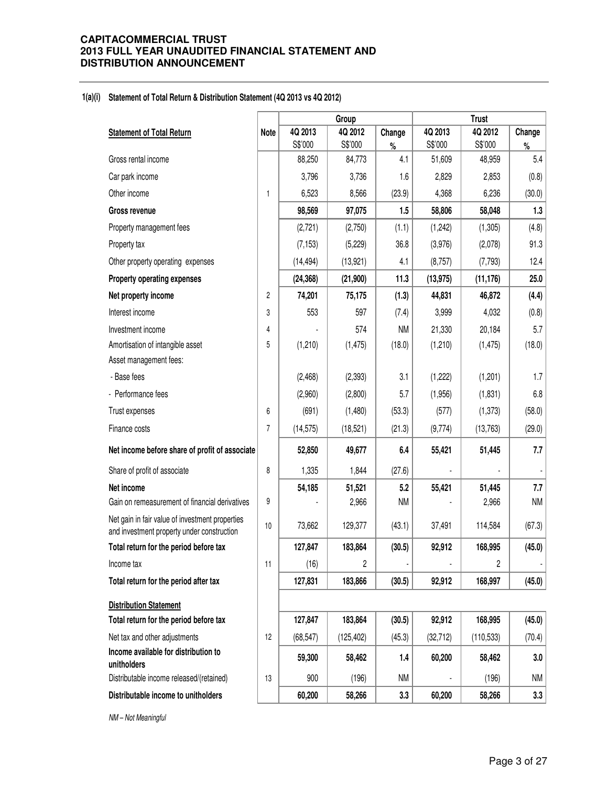#### **1(a)(i) Statement of Total Return & Distribution Statement (4Q 2013 vs 4Q 2012)**

|                                                                                               |                |           | Group      |           | <b>Trust</b>   |                |           |
|-----------------------------------------------------------------------------------------------|----------------|-----------|------------|-----------|----------------|----------------|-----------|
| <b>Statement of Total Return</b>                                                              | <b>Note</b>    | 4Q 2013   | 4Q 2012    | Change    | 4Q 2013        | 4Q 2012        | Change    |
|                                                                                               |                | S\$'000   | S\$'000    | $\%$      | S\$'000        | S\$'000        | $\%$      |
| Gross rental income                                                                           |                | 88,250    | 84,773     | 4.1       | 51,609         | 48,959         | 5.4       |
| Car park income                                                                               |                | 3,796     | 3,736      | 1.6       | 2,829          | 2,853          | (0.8)     |
| Other income                                                                                  | 1              | 6,523     | 8,566      | (23.9)    | 4,368          | 6,236          | (30.0)    |
| Gross revenue                                                                                 |                | 98,569    | 97,075     | 1.5       | 58,806         | 58,048         | 1.3       |
| Property management fees                                                                      |                | (2,721)   | (2,750)    | (1.1)     | (1,242)        | (1,305)        | (4.8)     |
| Property tax                                                                                  |                | (7, 153)  | (5, 229)   | 36.8      | (3,976)        | (2,078)        | 91.3      |
| Other property operating expenses                                                             |                | (14, 494) | (13, 921)  | 4.1       | (8,757)        | (7,793)        | 12.4      |
| Property operating expenses                                                                   |                | (24, 368) | (21,900)   | 11.3      | (13, 975)      | (11, 176)      | 25.0      |
| Net property income                                                                           | $\overline{c}$ | 74,201    | 75,175     | (1.3)     | 44,831         | 46,872         | (4.4)     |
| Interest income                                                                               | 3              | 553       | 597        | (7.4)     | 3,999          | 4,032          | (0.8)     |
| Investment income                                                                             | 4              |           | 574        | <b>NM</b> | 21,330         | 20,184         | 5.7       |
| Amortisation of intangible asset                                                              | 5              | (1,210)   | (1, 475)   | (18.0)    | (1,210)        | (1, 475)       | (18.0)    |
| Asset management fees:                                                                        |                |           |            |           |                |                |           |
| - Base fees                                                                                   |                | (2,468)   | (2, 393)   | 3.1       | (1,222)        | (1,201)        | 1.7       |
| - Performance fees                                                                            |                | (2,960)   | (2,800)    | 5.7       | (1,956)        | (1,831)        | 6.8       |
| Trust expenses                                                                                | 6              | (691)     | (1,480)    | (53.3)    | (577)          | (1, 373)       | (58.0)    |
| Finance costs                                                                                 | 7              | (14, 575) | (18, 521)  | (21.3)    | (9,774)        | (13, 763)      | (29.0)    |
| Net income before share of profit of associate                                                |                | 52,850    | 49,677     | 6.4       | 55,421         | 51,445         | 7.7       |
| Share of profit of associate                                                                  | 8              | 1,335     | 1,844      | (27.6)    |                |                |           |
| Net income                                                                                    |                | 54,185    | 51,521     | 5.2       | 55,421         | 51,445         | 7.7       |
| Gain on remeasurement of financial derivatives                                                | 9              |           | 2,966      | <b>NM</b> |                | 2,966          | <b>NM</b> |
| Net gain in fair value of investment properties<br>and investment property under construction | 10             | 73,662    | 129,377    | (43.1)    | 37,491         | 114,584        | (67.3)    |
| Total return for the period before tax                                                        |                | 127,847   | 183,864    | (30.5)    | 92,912         | 168,995        | (45.0)    |
| Income tax                                                                                    | 11             | (16)      | 2          |           | $\overline{a}$ | $\overline{c}$ |           |
| Total return for the period after tax                                                         |                | 127,831   | 183,866    | (30.5)    | 92,912         | 168,997        | (45.0)    |
| <b>Distribution Statement</b>                                                                 |                |           |            |           |                |                |           |
| Total return for the period before tax                                                        |                | 127,847   | 183,864    | (30.5)    | 92,912         | 168,995        | (45.0)    |
| Net tax and other adjustments                                                                 | 12             | (68, 547) | (125, 402) | (45.3)    | (32, 712)      | (110, 533)     | (70.4)    |
| Income available for distribution to<br>unitholders                                           |                | 59,300    | 58,462     | 1.4       | 60,200         | 58,462         | 3.0       |
| Distributable income released/(retained)                                                      | 13             | 900       | (196)      | <b>NM</b> |                | (196)          | <b>NM</b> |
| Distributable income to unitholders                                                           |                | 60,200    | 58,266     | 3.3       | 60,200         | 58,266         | 3.3       |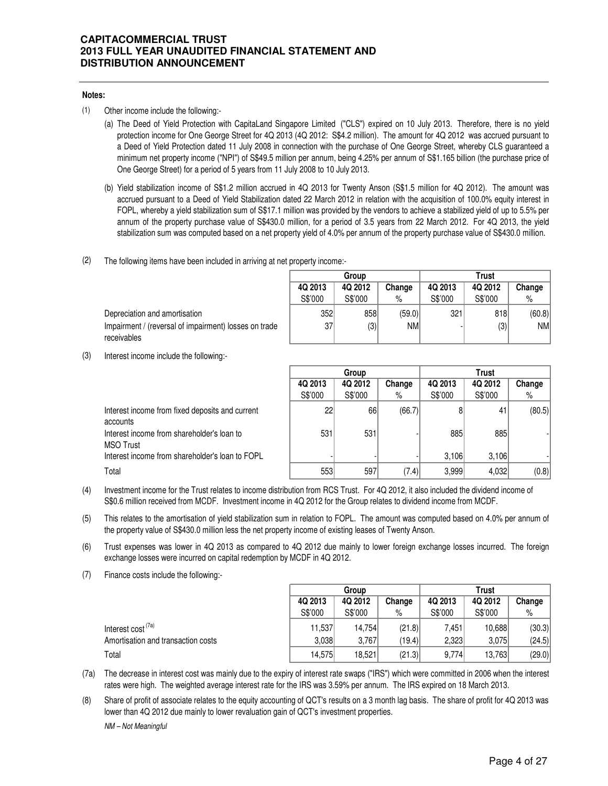#### **Notes:**

- (1) Other income include the following:-
	- (a) The Deed of Yield Protection with CapitaLand Singapore Limited ("CLS") expired on 10 July 2013. Therefore, there is no yield protection income for One George Street for 4Q 2013 (4Q 2012: S\$4.2 million). The amount for 4Q 2012 was accrued pursuant to a Deed of Yield Protection dated 11 July 2008 in connection with the purchase of One George Street, whereby CLS guaranteed a minimum net property income ("NPI") of S\$49.5 million per annum, being 4.25% per annum of S\$1.165 billion (the purchase price of One George Street) for a period of 5 years from 11 July 2008 to 10 July 2013.
	- (b) Yield stabilization income of S\$1.2 million accrued in 4Q 2013 for Twenty Anson (S\$1.5 million for 4Q 2012). The amount was accrued pursuant to a Deed of Yield Stabilization dated 22 March 2012 in relation with the acquisition of 100.0% equity interest in FOPL, whereby a yield stabilization sum of S\$17.1 million was provided by the vendors to achieve a stabilized yield of up to 5.5% per annum of the property purchase value of S\$430.0 million, for a period of 3.5 years from 22 March 2012. For 4Q 2013, the yield stabilization sum was computed based on a net property yield of 4.0% per annum of the property purchase value of S\$430.0 million.
- (2) The following items have been included in arriving at net property income:-

|                                                       | Group           |         |        | Trust   |         |            |  |
|-------------------------------------------------------|-----------------|---------|--------|---------|---------|------------|--|
|                                                       | 4Q 2013         | 4Q 2012 | Change | 4Q 2013 | 4Q 2012 | Change     |  |
|                                                       | S\$'000         | S\$'000 | %      | S\$'000 | S\$'000 | %          |  |
| Depreciation and amortisation                         | 352             | 858     | (59.0) | 321     | 818     | (60.8)     |  |
| Impairment / (reversal of impairment) losses on trade | 37 <sup>1</sup> | (3)     | NMI    |         | (3)     | <b>NMI</b> |  |
| receivables                                           |                 |         |        |         |         |            |  |

(3) Interest income include the following:-

|                                                             | Group<br>Trust |         |        |         |         |        |
|-------------------------------------------------------------|----------------|---------|--------|---------|---------|--------|
|                                                             | 4Q 2013        | 4Q 2012 | Change | 4Q 2013 | 4Q 2012 | Change |
|                                                             | S\$'000        | S\$'000 | %      | S\$'000 | S\$'000 | %      |
| Interest income from fixed deposits and current<br>accounts | 22             | 66      | (66.7) |         | 41      | (80.5) |
| Interest income from shareholder's loan to<br>MSO Trust     | 531            | 531     |        | 885     | 885     |        |
| Interest income from shareholder's loan to FOPL             |                |         |        | 3.106   | 3.106   |        |
| Total                                                       | 553            | 597     | (7.4)  | 3,999   | 4,032   | (0.8)  |

- (4) Investment income for the Trust relates to income distribution from RCS Trust. For 4Q 2012, it also included the dividend income of S\$0.6 million received from MCDF. Investment income in 4Q 2012 for the Group relates to dividend income from MCDF.
- (5) This relates to the amortisation of yield stabilization sum in relation to FOPL. The amount was computed based on 4.0% per annum of the property value of S\$430.0 million less the net property income of existing leases of Twenty Anson.
- (6) Trust expenses was lower in 4Q 2013 as compared to 4Q 2012 due mainly to lower foreign exchange losses incurred. The foreign exchange losses were incurred on capital redemption by MCDF in 4Q 2012.
- (7) Finance costs include the following:-

|                                    |         | Group   |        |         | <b>Trust</b> |        |  |  |
|------------------------------------|---------|---------|--------|---------|--------------|--------|--|--|
|                                    | 4Q 2013 | 4Q 2012 | Change | 4Q 2013 | 4Q 2012      | Change |  |  |
|                                    | S\$'000 | S\$'000 | %      | S\$'000 | S\$'000      | $\%$   |  |  |
| Interest cost <sup>(7a)</sup>      | 11,537  | 14.754  | (21.8) | 7.451   | 10,688       | (30.3) |  |  |
| Amortisation and transaction costs | 3,038   | 3.767   | (19.4) | 2,323   | 3.075        | (24.5) |  |  |
| Total                              | 14,575  | 18,521  | (21.3) | 9,774   | 13,763       | (29.0) |  |  |

(7a) The decrease in interest cost was mainly due to the expiry of interest rate swaps ("IRS") which were committed in 2006 when the interest rates were high. The weighted average interest rate for the IRS was 3.59% per annum. The IRS expired on 18 March 2013.

(8) Share of profit of associate relates to the equity accounting of QCT's results on a 3 month lag basis. The share of profit for 4Q 2013 was lower than 4Q 2012 due mainly to lower revaluation gain of QCT's investment properties.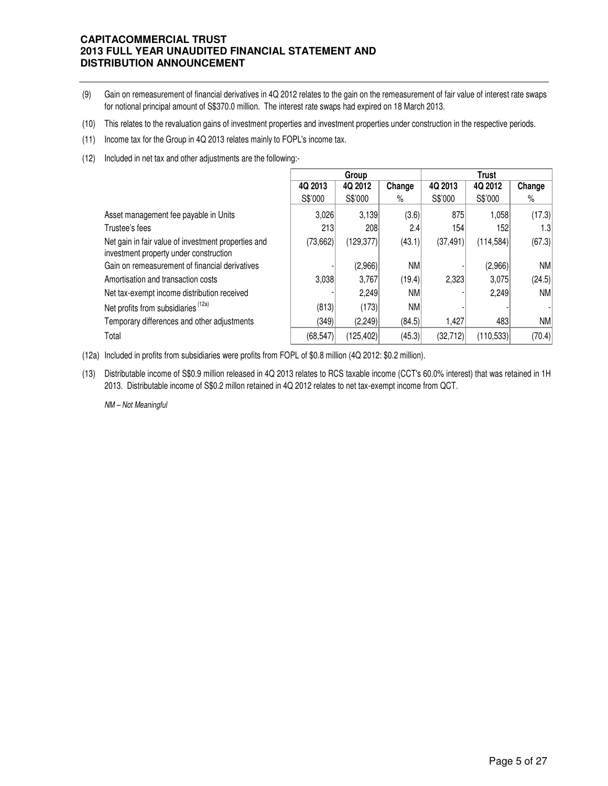- (9) Gain on remeasurement of financial derivatives in 4Q 2012 relates to the gain on the remeasurement of fair value of interest rate swaps for notional principal amount of S\$370.0 million. The interest rate swaps had expired on 18 March 2013.
- (10) This relates to the revaluation gains of investment properties and investment properties under construction in the respective periods.
- (11) Income tax for the Group in 4Q 2013 relates mainly to FOPL's income tax.
- (12) Included in net tax and other adjustments are the following:-

|                                                                                               |           | Group      |           |           | <b>Trust</b> |           |
|-----------------------------------------------------------------------------------------------|-----------|------------|-----------|-----------|--------------|-----------|
|                                                                                               | 4Q 2013   | 4Q 2012    | Change    | 4Q 2013   | 4Q 2012      | Change    |
|                                                                                               | S\$'000   | S\$'000    | %         | S\$'000   | S\$'000      | %         |
| Asset management fee payable in Units                                                         | 3.026     | 3,139      | (3.6)     | 875       | 1,058        | (17.3)    |
| Trustee's fees                                                                                | 213       | 208        | 2.4       | 154       | 152          | 1.3       |
| Net gain in fair value of investment properties and<br>investment property under construction | (73, 662) | (129, 377) | (43.1)    | (37, 491) | (114, 584)   | (67.3)    |
| Gain on remeasurement of financial derivatives                                                |           | (2,966)    | <b>NM</b> |           | (2,966)      | <b>NM</b> |
| Amortisation and transaction costs                                                            | 3.038     | 3,767      | (19.4)    | 2,323     | 3.075        | (24.5)    |
| Net tax-exempt income distribution received                                                   |           | 2,249      | NM        |           | 2,249        | <b>NM</b> |
| Net profits from subsidiaries (12a)                                                           | (813)     | (173)      | <b>NM</b> |           |              |           |
| Temporary differences and other adjustments                                                   | (349)     | (2,249)    | (84.5)    | 1,427     | 483          | <b>NM</b> |
| Total                                                                                         | (68, 547) | (125, 402) | (45.3)    | (32, 712) | (110, 533)   | (70.4)    |

(12a) Included in profits from subsidiaries were profits from FOPL of \$0.8 million (4Q 2012: \$0.2 million).

(13) Distributable income of S\$0.9 million released in 4Q 2013 relates to RCS taxable income (CCT's 60.0% interest) that was retained in 1H 2013. Distributable income of S\$0.2 millon retained in 4Q 2012 relates to net tax-exempt income from QCT.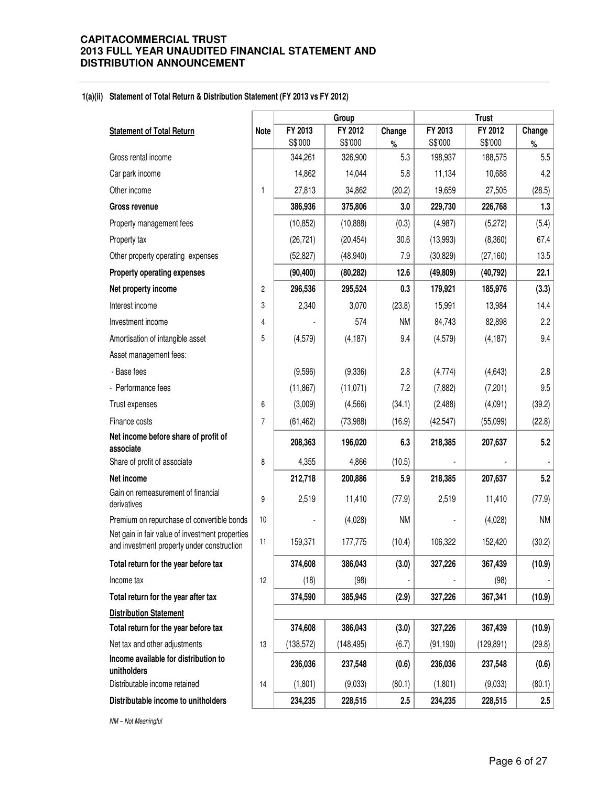#### **1(a)(ii) Statement of Total Return & Distribution Statement (FY 2013 vs FY 2012)**

|                                                                                               |                | Group      |            |           | <b>Trust</b> |            |           |
|-----------------------------------------------------------------------------------------------|----------------|------------|------------|-----------|--------------|------------|-----------|
| <b>Statement of Total Return</b>                                                              | Note           | FY 2013    | FY 2012    | Change    | FY 2013      | FY 2012    | Change    |
|                                                                                               |                | S\$'000    | S\$'000    | $\%$      | S\$'000      | S\$'000    | $\%$      |
| Gross rental income                                                                           |                | 344,261    | 326,900    | 5.3       | 198,937      | 188,575    | 5.5       |
| Car park income                                                                               |                | 14,862     | 14,044     | 5.8       | 11,134       | 10,688     | 4.2       |
| Other income                                                                                  | 1              | 27,813     | 34,862     | (20.2)    | 19,659       | 27,505     | (28.5)    |
| <b>Gross revenue</b>                                                                          |                | 386,936    | 375,806    | 3.0       | 229,730      | 226,768    | 1.3       |
| Property management fees                                                                      |                | (10, 852)  | (10, 888)  | (0.3)     | (4,987)      | (5,272)    | (5.4)     |
| Property tax                                                                                  |                | (26, 721)  | (20, 454)  | 30.6      | (13,993)     | (8,360)    | 67.4      |
| Other property operating expenses                                                             |                | (52, 827)  | (48, 940)  | 7.9       | (30, 829)    | (27, 160)  | 13.5      |
| Property operating expenses                                                                   |                | (90, 400)  | (80, 282)  | 12.6      | (49, 809)    | (40, 792)  | 22.1      |
| Net property income                                                                           | 2              | 296,536    | 295,524    | 0.3       | 179,921      | 185,976    | (3.3)     |
| Interest income                                                                               | 3              | 2,340      | 3,070      | (23.8)    | 15,991       | 13,984     | 14.4      |
| Investment income                                                                             | 4              |            | 574        | <b>NM</b> | 84,743       | 82,898     | 2.2       |
| Amortisation of intangible asset                                                              | 5              | (4,579)    | (4, 187)   | 9.4       | (4, 579)     | (4, 187)   | 9.4       |
| Asset management fees:                                                                        |                |            |            |           |              |            |           |
| - Base fees                                                                                   |                | (9,596)    | (9,336)    | 2.8       | (4,774)      | (4,643)    | 2.8       |
| - Performance fees                                                                            |                | (11, 867)  | (11, 071)  | 7.2       | (7, 882)     | (7,201)    | 9.5       |
| Trust expenses                                                                                | 6              | (3,009)    | (4, 566)   | (34.1)    | (2,488)      | (4,091)    | (39.2)    |
| Finance costs                                                                                 | $\overline{7}$ | (61, 462)  | (73,988)   | (16.9)    | (42, 547)    | (55,099)   | (22.8)    |
| Net income before share of profit of<br>associate                                             |                | 208,363    | 196,020    | 6.3       | 218,385      | 207,637    | 5.2       |
| Share of profit of associate                                                                  | 8              | 4,355      | 4,866      | (10.5)    |              |            |           |
| Net income                                                                                    |                | 212,718    | 200,886    | 5.9       | 218,385      | 207,637    | 5.2       |
| Gain on remeasurement of financial<br>derivatives                                             | 9              | 2,519      | 11,410     | (77.9)    | 2,519        | 11,410     | (77.9)    |
| Premium on repurchase of convertible bonds                                                    | 10             |            | (4,028)    | <b>NM</b> |              | (4,028)    | <b>NM</b> |
| Net gain in fair value of investment properties<br>and investment property under construction | 11             | 159,371    | 177,775    | (10.4)    | 106,322      | 152,420    | (30.2)    |
| Total return for the year before tax                                                          |                | 374,608    | 386,043    | (3.0)     | 327,226      | 367,439    | (10.9)    |
| Income tax                                                                                    | 12             | (18)       | (98)       |           |              | (98)       |           |
| Total return for the year after tax                                                           |                | 374,590    | 385,945    | (2.9)     | 327,226      | 367,341    | (10.9)    |
| <b>Distribution Statement</b>                                                                 |                |            |            |           |              |            |           |
| Total return for the year before tax                                                          |                | 374,608    | 386,043    | (3.0)     | 327,226      | 367,439    | (10.9)    |
| Net tax and other adjustments                                                                 | 13             | (138, 572) | (148, 495) | (6.7)     | (91, 190)    | (129, 891) | (29.8)    |
| Income available for distribution to<br>unitholders                                           |                | 236,036    | 237,548    | (0.6)     | 236,036      | 237,548    | (0.6)     |
| Distributable income retained                                                                 | 14             | (1,801)    | (9,033)    | (80.1)    | (1,801)      | (9,033)    | (80.1)    |
| Distributable income to unitholders                                                           |                | 234,235    | 228,515    | 2.5       | 234,235      | 228,515    | 2.5       |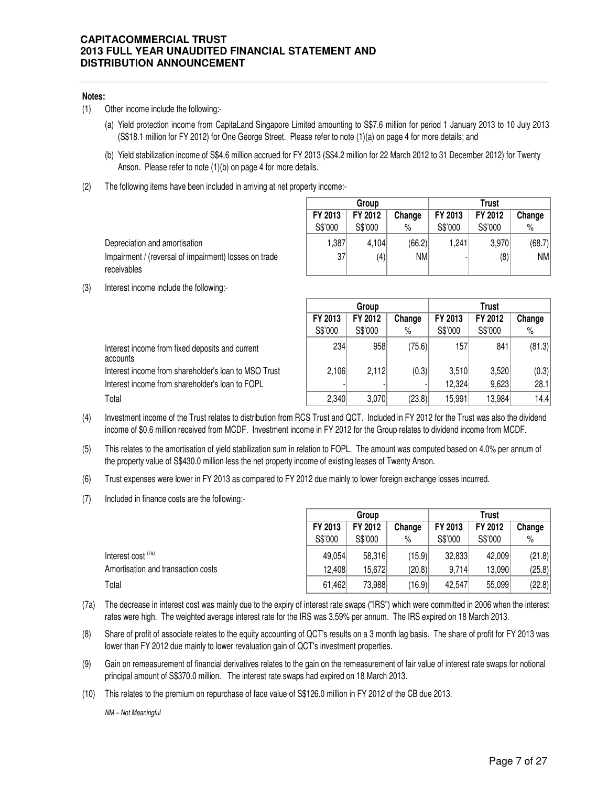#### **Notes:**

- (1) Other income include the following:-
	- (a) Yield protection income from CapitaLand Singapore Limited amounting to S\$7.6 million for period 1 January 2013 to 10 July 2013 (S\$18.1 million for FY 2012) for One George Street. Please refer to note (1)(a) on page 4 for more details; and
	- (b) Yield stabilization income of S\$4.6 million accrued for FY 2013 (S\$4.2 million for 22 March 2012 to 31 December 2012) for Twenty Anson. Please refer to note (1)(b) on page 4 for more details.
- (2) The following items have been included in arriving at net property income:-

Depreciation and amortisation Impairment / (reversal of impairment) losses on trade receivables

|         | Group   |           |         | l rust  |        |
|---------|---------|-----------|---------|---------|--------|
| FY 2013 | FY 2012 | Change    | FY 2013 | FY 2012 | Change |
| S\$'000 | S\$'000 | %         | S\$'000 | S\$'000 | $\%$   |
| 1,387   | 4,104   | (66.2)    | 1,241   | 3,970   | (68.7) |
| 37      | (4)     | <b>NM</b> |         | (8)     | NM     |
|         |         |           |         |         |        |

(3) Interest income include the following:-

|                                                             | Group   |         |        | Trust   |         |        |  |
|-------------------------------------------------------------|---------|---------|--------|---------|---------|--------|--|
|                                                             | FY 2013 | FY 2012 | Change | FY 2013 | FY 2012 | Change |  |
|                                                             | S\$'000 | S\$'000 | %      | S\$'000 | S\$'000 | %      |  |
| Interest income from fixed deposits and current<br>accounts | 234     | 958     | (75.6) | 157     | 841     | (81.3) |  |
| Interest income from shareholder's loan to MSO Trust        | 2,106   | 2.112   | (0.3)  | 3,510   | 3,520   | (0.3)  |  |
| Interest income from shareholder's loan to FOPL             |         |         |        | 12,324  | 9,623   | 28.1   |  |
| Total                                                       | 2,340   | 3,070   | (23.8) | 15,991  | 13,984  | 14.4   |  |

- (4) Investment income of the Trust relates to distribution from RCS Trust and QCT. Included in FY 2012 for the Trust was also the dividend income of \$0.6 million received from MCDF. Investment income in FY 2012 for the Group relates to dividend income from MCDF.
- (5) This relates to the amortisation of yield stabilization sum in relation to FOPL. The amount was computed based on 4.0% per annum of the property value of S\$430.0 million less the net property income of existing leases of Twenty Anson.
- (6) Trust expenses were lower in FY 2013 as compared to FY 2012 due mainly to lower foreign exchange losses incurred.
- (7) Included in finance costs are the following:-

|                                    | Group   |         |        | I rust  |         |        |  |
|------------------------------------|---------|---------|--------|---------|---------|--------|--|
|                                    | FY 2013 | FY 2012 | Change | FY 2013 | FY 2012 | Change |  |
|                                    | S\$'000 | S\$'000 | %      | S\$'000 | S\$'000 | $\%$   |  |
| Interest cost <sup>(7a)</sup>      | 49,054  | 58,316  | (15.9) | 32,833  | 42,009  | (21.8) |  |
| Amortisation and transaction costs | 12.408  | 15.672  | (20.8) | 9,714   | 13,090  | (25.8) |  |
| Total                              | 61.462  | 73,988  | (16.9) | 42.547  | 55,099  | (22.8) |  |

- (7a) The decrease in interest cost was mainly due to the expiry of interest rate swaps ("IRS") which were committed in 2006 when the interest rates were high. The weighted average interest rate for the IRS was 3.59% per annum. The IRS expired on 18 March 2013.
- (8) Share of profit of associate relates to the equity accounting of QCT's results on a 3 month lag basis. The share of profit for FY 2013 was lower than FY 2012 due mainly to lower revaluation gain of QCT's investment properties.
- (9) Gain on remeasurement of financial derivatives relates to the gain on the remeasurement of fair value of interest rate swaps for notional principal amount of S\$370.0 million. The interest rate swaps had expired on 18 March 2013.
- (10) This relates to the premium on repurchase of face value of S\$126.0 million in FY 2012 of the CB due 2013.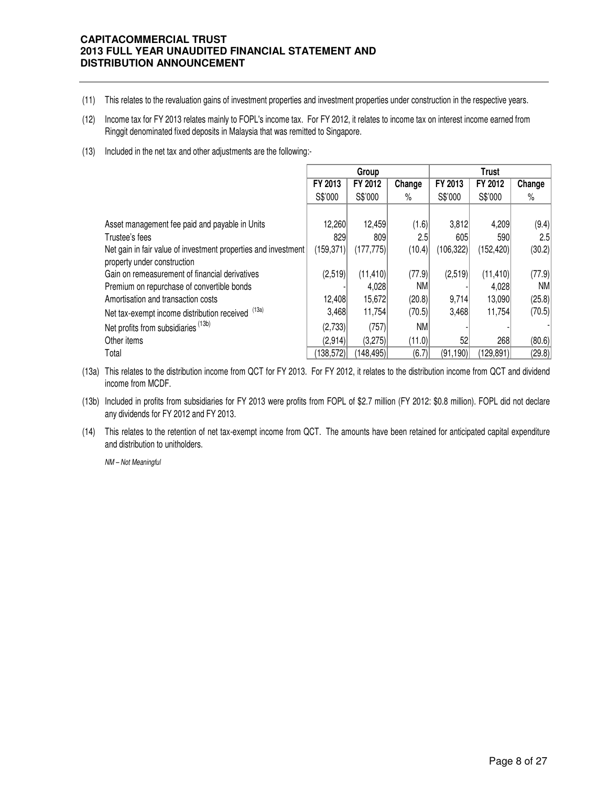- (11) This relates to the revaluation gains of investment properties and investment properties under construction in the respective years.
- (12) Income tax for FY 2013 relates mainly to FOPL's income tax. For FY 2012, it relates to income tax on interest income earned from Ringgit denominated fixed deposits in Malaysia that was remitted to Singapore.
- (13) Included in the net tax and other adjustments are the following:-

|                                                                |            | Group              |        | <b>Trust</b> |            |           |  |
|----------------------------------------------------------------|------------|--------------------|--------|--------------|------------|-----------|--|
|                                                                | FY 2013    | FY 2012            | Change | FY 2013      | FY 2012    | Change    |  |
|                                                                | S\$'000    | S\$'000            | $\%$   | S\$'000      | S\$'000    | $\%$      |  |
|                                                                |            |                    |        |              |            |           |  |
| Asset management fee paid and payable in Units                 | 12,260     | 12,459             | (1.6)  | 3,812        | 4,209      | (9.4)     |  |
| Trustee's fees                                                 | 829        | 809                | 2.5    | 605          | 590        | 2.5       |  |
| Net gain in fair value of investment properties and investment | (159,371)  | (177, 775)         | (10.4) | (106, 322)   | (152, 420) | (30.2)    |  |
| property under construction                                    |            |                    |        |              |            |           |  |
| Gain on remeasurement of financial derivatives                 | (2,519)    | (11, 410)          | (77.9) | (2,519)      | (11, 410)  | (77.9)    |  |
| Premium on repurchase of convertible bonds                     |            | 4,028              | NM     |              | 4,028      | <b>NM</b> |  |
| Amortisation and transaction costs                             | 12,408     | 15,672             | (20.8) | 9,714        | 13,090     | (25.8)    |  |
| Net tax-exempt income distribution received (13a)              | 3,468      | 11,754             | (70.5) | 3,468        | 11,754     | (70.5)    |  |
| Net profits from subsidiaries (13b)                            | (2,733)    | (757)              | NM     |              |            |           |  |
| Other items                                                    | (2,914)    | (3,275)            | (11.0) | 52           | 268        | (80.6)    |  |
| Total                                                          | (138, 572) | $ 148,495\rangle $ | (6.7)  | (91, 190)    | (129, 891) | (29.8)    |  |

- (13a) This relates to the distribution income from QCT for FY 2013. For FY 2012, it relates to the distribution income from QCT and dividend income from MCDF.
- (13b) Included in profits from subsidiaries for FY 2013 were profits from FOPL of \$2.7 million (FY 2012: \$0.8 million). FOPL did not declare any dividends for FY 2012 and FY 2013.
- (14) This relates to the retention of net tax-exempt income from QCT. The amounts have been retained for anticipated capital expenditure and distribution to unitholders.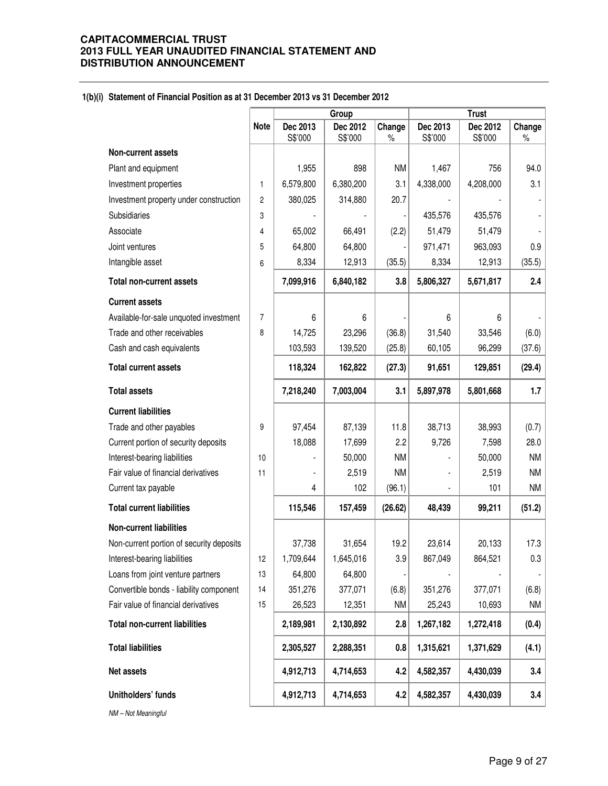#### **1(b)(i) Statement of Financial Position as at 31 December 2013 vs 31 December 2012**

|                                          |                         |                | Group     |           | <b>Trust</b> |           |           |  |
|------------------------------------------|-------------------------|----------------|-----------|-----------|--------------|-----------|-----------|--|
|                                          | <b>Note</b>             | Dec 2013       | Dec 2012  | Change    | Dec 2013     | Dec 2012  | Change    |  |
|                                          |                         | S\$'000        | S\$'000   | $\%$      | S\$'000      | S\$'000   | $\%$      |  |
| Non-current assets                       |                         |                |           |           |              |           |           |  |
| Plant and equipment                      |                         | 1,955          | 898       | <b>NM</b> | 1,467        | 756       | 94.0      |  |
| Investment properties                    | 1                       | 6,579,800      | 6,380,200 | 3.1       | 4,338,000    | 4,208,000 | 3.1       |  |
| Investment property under construction   | $\overline{\mathbf{c}}$ | 380,025        | 314,880   | 20.7      |              |           |           |  |
| Subsidiaries                             | 3                       |                |           |           | 435,576      | 435,576   |           |  |
| Associate                                | 4                       | 65,002         | 66,491    | (2.2)     | 51,479       | 51,479    |           |  |
| Joint ventures                           | 5                       | 64,800         | 64,800    |           | 971,471      | 963,093   | 0.9       |  |
| Intangible asset                         | 6                       | 8,334          | 12,913    | (35.5)    | 8,334        | 12,913    | (35.5)    |  |
| <b>Total non-current assets</b>          |                         | 7,099,916      | 6,840,182 | 3.8       | 5,806,327    | 5,671,817 | 2.4       |  |
| <b>Current assets</b>                    |                         |                |           |           |              |           |           |  |
| Available-for-sale unquoted investment   | $\overline{7}$          | 6              | 6         |           | 6            | 6         |           |  |
| Trade and other receivables              | 8                       | 14,725         | 23,296    | (36.8)    | 31,540       | 33,546    | (6.0)     |  |
| Cash and cash equivalents                |                         | 103,593        | 139,520   | (25.8)    | 60,105       | 96,299    | (37.6)    |  |
| <b>Total current assets</b>              |                         | 118,324        | 162,822   | (27.3)    | 91,651       | 129,851   | (29.4)    |  |
| <b>Total assets</b>                      |                         | 7,218,240      | 7,003,004 | 3.1       | 5,897,978    | 5,801,668 | 1.7       |  |
| <b>Current liabilities</b>               |                         |                |           |           |              |           |           |  |
| Trade and other payables                 | 9                       | 97,454         | 87,139    | 11.8      | 38,713       | 38,993    | (0.7)     |  |
| Current portion of security deposits     |                         | 18,088         | 17,699    | 2.2       | 9,726        | 7,598     | 28.0      |  |
| Interest-bearing liabilities             | 10                      |                | 50,000    | <b>NM</b> |              | 50,000    | <b>NM</b> |  |
| Fair value of financial derivatives      | 11                      | $\blacksquare$ | 2,519     | <b>NM</b> |              | 2,519     | <b>NM</b> |  |
| Current tax payable                      |                         | 4              | 102       | (96.1)    |              | 101       | <b>NM</b> |  |
| <b>Total current liabilities</b>         |                         | 115,546        | 157,459   | (26.62)   | 48,439       | 99,211    | (51.2)    |  |
| <b>Non-current liabilities</b>           |                         |                |           |           |              |           |           |  |
| Non-current portion of security deposits |                         | 37,738         | 31,654    | 19.2      | 23,614       | 20,133    | 17.3      |  |
| Interest-bearing liabilities             | 12                      | 1,709,644      | 1,645,016 | 3.9       | 867,049      | 864,521   | 0.3       |  |
| Loans from joint venture partners        | 13                      | 64,800         | 64,800    |           |              |           |           |  |
| Convertible bonds - liability component  | 14                      | 351,276        | 377,071   | (6.8)     | 351,276      | 377,071   | (6.8)     |  |
| Fair value of financial derivatives      | 15                      | 26,523         | 12,351    | <b>NM</b> | 25,243       | 10,693    | <b>NM</b> |  |
| <b>Total non-current liabilities</b>     |                         | 2,189,981      | 2,130,892 | 2.8       | 1,267,182    | 1,272,418 | (0.4)     |  |
| <b>Total liabilities</b>                 |                         | 2,305,527      | 2,288,351 | 0.8       | 1,315,621    | 1,371,629 | (4.1)     |  |
| <b>Net assets</b>                        |                         | 4,912,713      | 4,714,653 | 4.2       | 4,582,357    | 4,430,039 | 3.4       |  |
| Unitholders' funds                       |                         | 4,912,713      | 4,714,653 | 4.2       | 4,582,357    | 4,430,039 | 3.4       |  |
| NM - Not Meaningful                      |                         |                |           |           |              |           |           |  |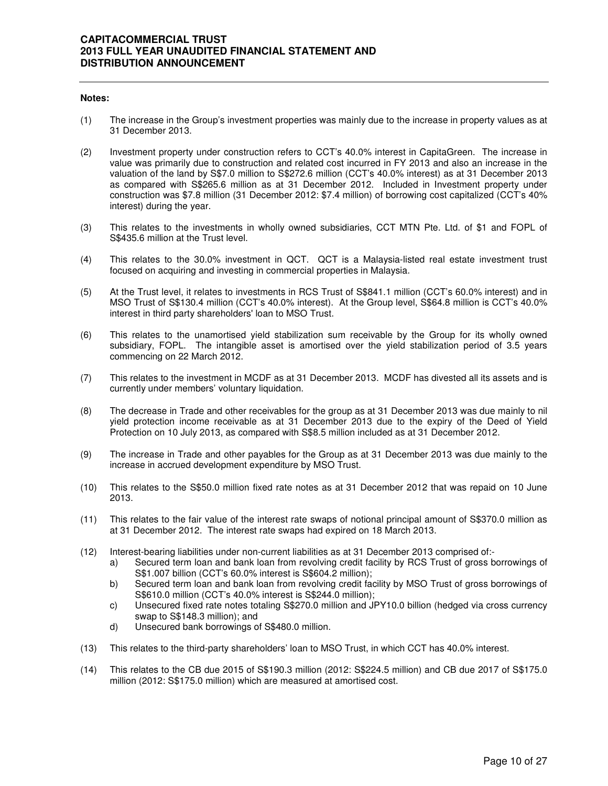#### **Notes:**

- (1) The increase in the Group's investment properties was mainly due to the increase in property values as at 31 December 2013.
- (2) Investment property under construction refers to CCT's 40.0% interest in CapitaGreen. The increase in value was primarily due to construction and related cost incurred in FY 2013 and also an increase in the valuation of the land by S\$7.0 million to S\$272.6 million (CCT's 40.0% interest) as at 31 December 2013 as compared with S\$265.6 million as at 31 December 2012. Included in Investment property under construction was \$7.8 million (31 December 2012: \$7.4 million) of borrowing cost capitalized (CCT's 40% interest) during the year.
- (3) This relates to the investments in wholly owned subsidiaries, CCT MTN Pte. Ltd. of \$1 and FOPL of S\$435.6 million at the Trust level.
- (4) This relates to the 30.0% investment in QCT. QCT is a Malaysia-listed real estate investment trust focused on acquiring and investing in commercial properties in Malaysia.
- (5) At the Trust level, it relates to investments in RCS Trust of S\$841.1 million (CCT's 60.0% interest) and in MSO Trust of S\$130.4 million (CCT's 40.0% interest). At the Group level, S\$64.8 million is CCT's 40.0% interest in third party shareholders' loan to MSO Trust.
- (6) This relates to the unamortised yield stabilization sum receivable by the Group for its wholly owned subsidiary, FOPL. The intangible asset is amortised over the yield stabilization period of 3.5 years commencing on 22 March 2012.
- (7) This relates to the investment in MCDF as at 31 December 2013. MCDF has divested all its assets and is currently under members' voluntary liquidation.
- (8) The decrease in Trade and other receivables for the group as at 31 December 2013 was due mainly to nil yield protection income receivable as at 31 December 2013 due to the expiry of the Deed of Yield Protection on 10 July 2013, as compared with S\$8.5 million included as at 31 December 2012.
- (9) The increase in Trade and other payables for the Group as at 31 December 2013 was due mainly to the increase in accrued development expenditure by MSO Trust.
- (10) This relates to the S\$50.0 million fixed rate notes as at 31 December 2012 that was repaid on 10 June 2013.
- (11) This relates to the fair value of the interest rate swaps of notional principal amount of S\$370.0 million as at 31 December 2012. The interest rate swaps had expired on 18 March 2013.
- (12) Interest-bearing liabilities under non-current liabilities as at 31 December 2013 comprised of:
	- a) Secured term loan and bank loan from revolving credit facility by RCS Trust of gross borrowings of S\$1.007 billion (CCT's 60.0% interest is S\$604.2 million);
	- b) Secured term loan and bank loan from revolving credit facility by MSO Trust of gross borrowings of S\$610.0 million (CCT's 40.0% interest is S\$244.0 million);
	- c) Unsecured fixed rate notes totaling S\$270.0 million and JPY10.0 billion (hedged via cross currency swap to S\$148.3 million); and
	- d) Unsecured bank borrowings of S\$480.0 million.
- (13) This relates to the third-party shareholders' loan to MSO Trust, in which CCT has 40.0% interest.
- (14) This relates to the CB due 2015 of S\$190.3 million (2012: S\$224.5 million) and CB due 2017 of S\$175.0 million (2012: S\$175.0 million) which are measured at amortised cost.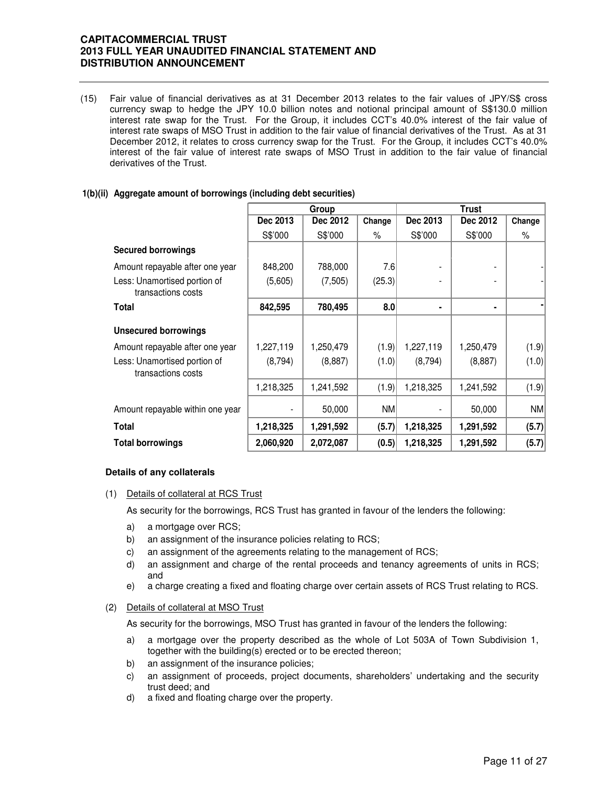(15) Fair value of financial derivatives as at 31 December 2013 relates to the fair values of JPY/S\$ cross currency swap to hedge the JPY 10.0 billion notes and notional principal amount of S\$130.0 million interest rate swap for the Trust. For the Group, it includes CCT's 40.0% interest of the fair value of interest rate swaps of MSO Trust in addition to the fair value of financial derivatives of the Trust. As at 31 December 2012, it relates to cross currency swap for the Trust. For the Group, it includes CCT's 40.0% interest of the fair value of interest rate swaps of MSO Trust in addition to the fair value of financial derivatives of the Trust.

## **1(b)(ii) Aggregate amount of borrowings (including debt securities)**

|                                                    |           | Group     |           | <b>Trust</b> |           |        |  |
|----------------------------------------------------|-----------|-----------|-----------|--------------|-----------|--------|--|
|                                                    | Dec 2013  | Dec 2012  | Change    | Dec 2013     | Dec 2012  | Change |  |
|                                                    | S\$'000   | S\$'000   | $\%$      | S\$'000      | S\$'000   | $\%$   |  |
| <b>Secured borrowings</b>                          |           |           |           |              |           |        |  |
| Amount repayable after one year                    | 848,200   | 788,000   | 7.6       |              |           |        |  |
| Less: Unamortised portion of<br>transactions costs | (5,605)   | (7, 505)  | (25.3)    |              |           |        |  |
| <b>Total</b>                                       | 842,595   | 780,495   | 8.0       |              | ٠         |        |  |
| <b>Unsecured borrowings</b>                        |           |           |           |              |           |        |  |
| Amount repayable after one year                    | 1,227,119 | 1,250,479 | (1.9)     | 1,227,119    | 1,250,479 | (1.9)  |  |
| Less: Unamortised portion of<br>transactions costs | (8,794)   | (8,887)   | (1.0)     | (8,794)      | (8,887)   | (1.0)  |  |
|                                                    | 1,218,325 | 1,241,592 | (1.9)     | 1,218,325    | 1,241,592 | (1.9)  |  |
| Amount repayable within one year                   |           | 50,000    | <b>NM</b> |              | 50,000    | NM     |  |
| <b>Total</b>                                       | 1,218,325 | 1,291,592 | (5.7)     | 1,218,325    | 1,291,592 | (5.7)  |  |
| <b>Total borrowings</b>                            | 2,060,920 | 2,072,087 | (0.5)     | 1,218,325    | 1,291,592 | (5.7)  |  |

## **Details of any collaterals**

(1) Details of collateral at RCS Trust

As security for the borrowings, RCS Trust has granted in favour of the lenders the following:

- a) a mortgage over RCS;
- b) an assignment of the insurance policies relating to RCS;
- c) an assignment of the agreements relating to the management of RCS;
- d) an assignment and charge of the rental proceeds and tenancy agreements of units in RCS; and
- e) a charge creating a fixed and floating charge over certain assets of RCS Trust relating to RCS.

#### (2) Details of collateral at MSO Trust

As security for the borrowings, MSO Trust has granted in favour of the lenders the following:

- a) a mortgage over the property described as the whole of Lot 503A of Town Subdivision 1, together with the building(s) erected or to be erected thereon;
- b) an assignment of the insurance policies;
- c) an assignment of proceeds, project documents, shareholders' undertaking and the security trust deed; and
- d) a fixed and floating charge over the property.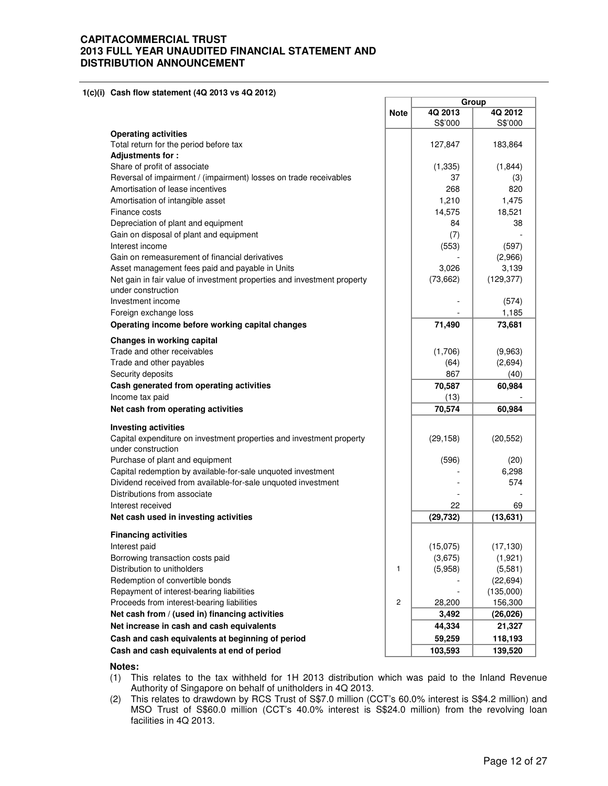**1(c)(i) Cash flow statement (4Q 2013 vs 4Q 2012)** 

|                                                                         |             | Group       |            |  |
|-------------------------------------------------------------------------|-------------|-------------|------------|--|
|                                                                         | <b>Note</b> | 4Q 2013     | 4Q 2012    |  |
| <b>Operating activities</b>                                             |             | S\$'000     | S\$'000    |  |
| Total return for the period before tax                                  |             | 127,847     | 183,864    |  |
| Adjustments for:                                                        |             |             |            |  |
| Share of profit of associate                                            |             | (1, 335)    | (1, 844)   |  |
| Reversal of impairment / (impairment) losses on trade receivables       |             | 37          | (3)        |  |
| Amortisation of lease incentives                                        |             | 268         | 820        |  |
| Amortisation of intangible asset                                        |             | 1.210       | 1,475      |  |
| Finance costs                                                           |             | 14,575      | 18,521     |  |
| Depreciation of plant and equipment                                     |             | 84          | 38         |  |
| Gain on disposal of plant and equipment                                 |             | (7)         |            |  |
| Interest income                                                         |             | (553)       | (597)      |  |
| Gain on remeasurement of financial derivatives                          |             |             | (2,966)    |  |
| Asset management fees paid and payable in Units                         |             | 3,026       | 3,139      |  |
| Net gain in fair value of investment properties and investment property |             | (73, 662)   | (129, 377) |  |
| under construction                                                      |             |             |            |  |
| Investment income                                                       |             |             | (574)      |  |
| Foreign exchange loss                                                   |             |             | 1,185      |  |
| Operating income before working capital changes                         |             | 71,490      | 73,681     |  |
|                                                                         |             |             |            |  |
| Changes in working capital<br>Trade and other receivables               |             |             |            |  |
| Trade and other payables                                                |             | (1,706)     | (9,963)    |  |
| Security deposits                                                       |             | (64)<br>867 | (2,694)    |  |
|                                                                         |             |             | (40)       |  |
| Cash generated from operating activities                                |             | 70,587      | 60,984     |  |
| Income tax paid                                                         |             | (13)        |            |  |
| Net cash from operating activities                                      |             | 70,574      | 60,984     |  |
| <b>Investing activities</b>                                             |             |             |            |  |
| Capital expenditure on investment properties and investment property    |             | (29, 158)   | (20, 552)  |  |
| under construction                                                      |             |             |            |  |
| Purchase of plant and equipment                                         |             | (596)       | (20)       |  |
| Capital redemption by available-for-sale unquoted investment            |             |             | 6,298      |  |
| Dividend received from available-for-sale unquoted investment           |             |             | 574        |  |
| Distributions from associate                                            |             |             |            |  |
| Interest received                                                       |             | 22          | 69         |  |
| Net cash used in investing activities                                   |             | (29, 732)   | (13, 631)  |  |
| <b>Financing activities</b>                                             |             |             |            |  |
| Interest paid                                                           |             | (15,075)    | (17, 130)  |  |
| Borrowing transaction costs paid                                        |             | (3,675)     | (1,921)    |  |
| Distribution to unitholders                                             | 1           | (5,958)     | (5,581)    |  |
| Redemption of convertible bonds                                         |             |             | (22, 694)  |  |
| Repayment of interest-bearing liabilities                               |             |             | (135,000)  |  |
| Proceeds from interest-bearing liabilities                              | 2           | 28,200      | 156,300    |  |
| Net cash from / (used in) financing activities                          |             | 3,492       | (26, 026)  |  |
| Net increase in cash and cash equivalents                               |             | 44,334      | 21,327     |  |
| Cash and cash equivalents at beginning of period                        |             | 59,259      | 118,193    |  |
|                                                                         |             |             |            |  |
| Cash and cash equivalents at end of period                              |             | 103,593     | 139,520    |  |

#### **Notes:**

- (1) This relates to the tax withheld for 1H 2013 distribution which was paid to the Inland Revenue Authority of Singapore on behalf of unitholders in 4Q 2013.
- (2) This relates to drawdown by RCS Trust of S\$7.0 million (CCT's 60.0% interest is S\$4.2 million) and MSO Trust of S\$60.0 million (CCT's 40.0% interest is S\$24.0 million) from the revolving loan facilities in 4Q 2013.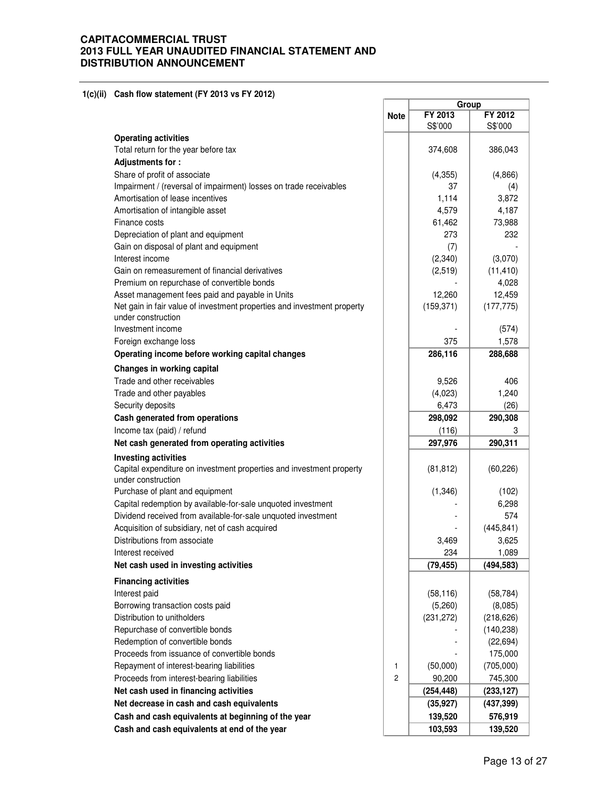**1(c)(ii) Cash flow statement (FY 2013 vs FY 2012)**

| Gash now statement (FT 2013 VS FT 2012)                                                             |                |            |                  |
|-----------------------------------------------------------------------------------------------------|----------------|------------|------------------|
|                                                                                                     | <b>Note</b>    | FY 2013    | Group<br>FY 2012 |
|                                                                                                     |                | S\$'000    | S\$'000          |
| <b>Operating activities</b>                                                                         |                |            |                  |
| Total return for the year before tax                                                                |                | 374,608    | 386,043          |
| Adjustments for:                                                                                    |                |            |                  |
| Share of profit of associate                                                                        |                | (4,355)    | (4,866)          |
| Impairment / (reversal of impairment) losses on trade receivables                                   |                | 37         | (4)              |
| Amortisation of lease incentives                                                                    |                | 1,114      | 3,872            |
| Amortisation of intangible asset                                                                    |                | 4,579      | 4,187            |
| Finance costs                                                                                       |                | 61,462     | 73,988           |
| Depreciation of plant and equipment                                                                 |                | 273        | 232              |
| Gain on disposal of plant and equipment                                                             |                | (7)        |                  |
| Interest income                                                                                     |                | (2,340)    | (3,070)          |
| Gain on remeasurement of financial derivatives                                                      |                | (2,519)    | (11, 410)        |
| Premium on repurchase of convertible bonds                                                          |                |            | 4,028            |
| Asset management fees paid and payable in Units                                                     |                | 12,260     | 12,459           |
| Net gain in fair value of investment properties and investment property                             |                | (159, 371) | (177, 775)       |
| under construction                                                                                  |                |            |                  |
| Investment income                                                                                   |                |            | (574)            |
| Foreign exchange loss                                                                               |                | 375        | 1,578            |
| Operating income before working capital changes                                                     |                | 286,116    | 288,688          |
| Changes in working capital                                                                          |                |            |                  |
| Trade and other receivables                                                                         |                | 9,526      | 406              |
| Trade and other payables                                                                            |                | (4,023)    | 1,240            |
| Security deposits                                                                                   |                | 6,473      | (26)             |
| Cash generated from operations                                                                      |                | 298,092    | 290,308          |
| Income tax (paid) / refund                                                                          |                | (116)      | 3                |
| Net cash generated from operating activities                                                        |                | 297,976    | 290,311          |
|                                                                                                     |                |            |                  |
| <b>Investing activities</b><br>Capital expenditure on investment properties and investment property |                | (81, 812)  | (60, 226)        |
| under construction                                                                                  |                |            |                  |
| Purchase of plant and equipment                                                                     |                | (1,346)    | (102)            |
| Capital redemption by available-for-sale unquoted investment                                        |                |            | 6,298            |
| Dividend received from available-for-sale unquoted investment                                       |                |            | 574              |
| Acquisition of subsidiary, net of cash acquired                                                     |                |            | (445, 841)       |
| Distributions from associate                                                                        |                | 3,469      | 3,625            |
| Interest received                                                                                   |                | 234        | 1,089            |
| Net cash used in investing activities                                                               |                | (79, 455)  |                  |
|                                                                                                     |                |            | (494, 583)       |
| <b>Financing activities</b>                                                                         |                |            |                  |
| Interest paid                                                                                       |                | (58, 116)  | (58, 784)        |
| Borrowing transaction costs paid                                                                    |                | (5,260)    | (8,085)          |
| Distribution to unitholders                                                                         |                | (231, 272) | (218, 626)       |
| Repurchase of convertible bonds                                                                     |                |            | (140, 238)       |
| Redemption of convertible bonds                                                                     |                |            | (22, 694)        |
| Proceeds from issuance of convertible bonds                                                         |                |            | 175,000          |
| Repayment of interest-bearing liabilities                                                           | 1              | (50,000)   | (705,000)        |
| Proceeds from interest-bearing liabilities                                                          | $\overline{c}$ | 90,200     | 745,300          |
| Net cash used in financing activities                                                               |                | (254, 448) | (233, 127)       |
| Net decrease in cash and cash equivalents                                                           |                | (35, 927)  | (437, 399)       |
| Cash and cash equivalents at beginning of the year                                                  |                | 139,520    | 576,919          |
| Cash and cash equivalents at end of the year                                                        |                | 103,593    | 139,520          |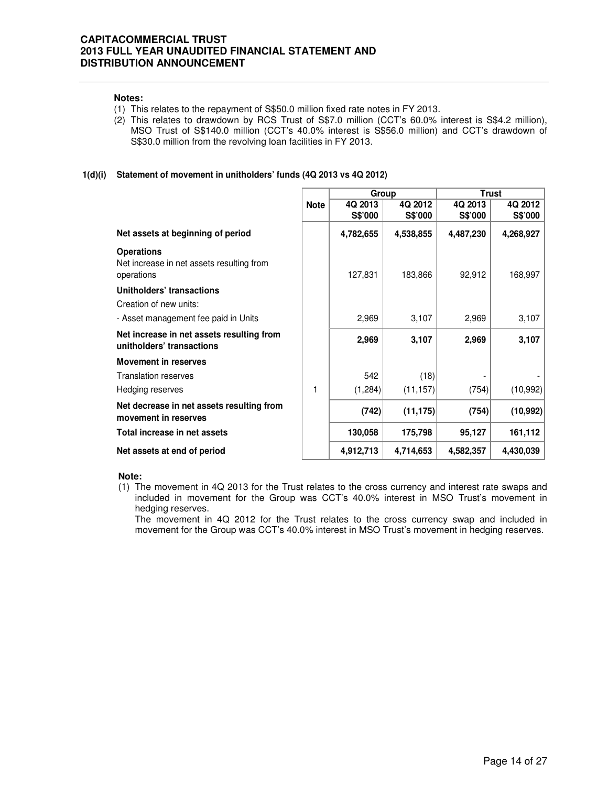#### **Notes:**

- (1) This relates to the repayment of S\$50.0 million fixed rate notes in FY 2013.
- (2) This relates to drawdown by RCS Trust of S\$7.0 million (CCT's 60.0% interest is S\$4.2 million), MSO Trust of S\$140.0 million (CCT's 40.0% interest is S\$56.0 million) and CCT's drawdown of S\$30.0 million from the revolving loan facilities in FY 2013.

## **1(d)(i) Statement of movement in unitholders' funds (4Q 2013 vs 4Q 2012)**

|                                                                              |             | Group              |                    | <b>Trust</b>       |                    |  |
|------------------------------------------------------------------------------|-------------|--------------------|--------------------|--------------------|--------------------|--|
|                                                                              | <b>Note</b> | 4Q 2013<br>S\$'000 | 4Q 2012<br>S\$'000 | 4Q 2013<br>S\$'000 | 4Q 2012<br>S\$'000 |  |
| Net assets at beginning of period                                            |             | 4,782,655          | 4,538,855          | 4,487,230          | 4,268,927          |  |
| <b>Operations</b><br>Net increase in net assets resulting from<br>operations |             | 127,831            | 183,866            | 92,912             | 168,997            |  |
| Unitholders' transactions                                                    |             |                    |                    |                    |                    |  |
| Creation of new units:                                                       |             |                    |                    |                    |                    |  |
| - Asset management fee paid in Units                                         |             | 2,969              | 3,107              | 2,969              | 3,107              |  |
| Net increase in net assets resulting from<br>unitholders' transactions       |             | 2,969              | 3,107              | 2,969              | 3,107              |  |
| <b>Movement in reserves</b>                                                  |             |                    |                    |                    |                    |  |
| Translation reserves                                                         |             | 542                | (18)               |                    |                    |  |
| Hedging reserves                                                             | 1           | (1, 284)           | (11, 157)          | (754)              | (10, 992)          |  |
| Net decrease in net assets resulting from<br>movement in reserves            |             | (742)              | (11, 175)          | (754)              | (10, 992)          |  |
| Total increase in net assets                                                 |             | 130,058            | 175,798            | 95,127             | 161,112            |  |
| Net assets at end of period                                                  |             | 4,912,713          | 4,714,653          | 4,582,357          | 4,430,039          |  |

#### **Note:**

(1) The movement in 4Q 2013 for the Trust relates to the cross currency and interest rate swaps and included in movement for the Group was CCT's 40.0% interest in MSO Trust's movement in hedging reserves.

The movement in 4Q 2012 for the Trust relates to the cross currency swap and included in movement for the Group was CCT's 40.0% interest in MSO Trust's movement in hedging reserves.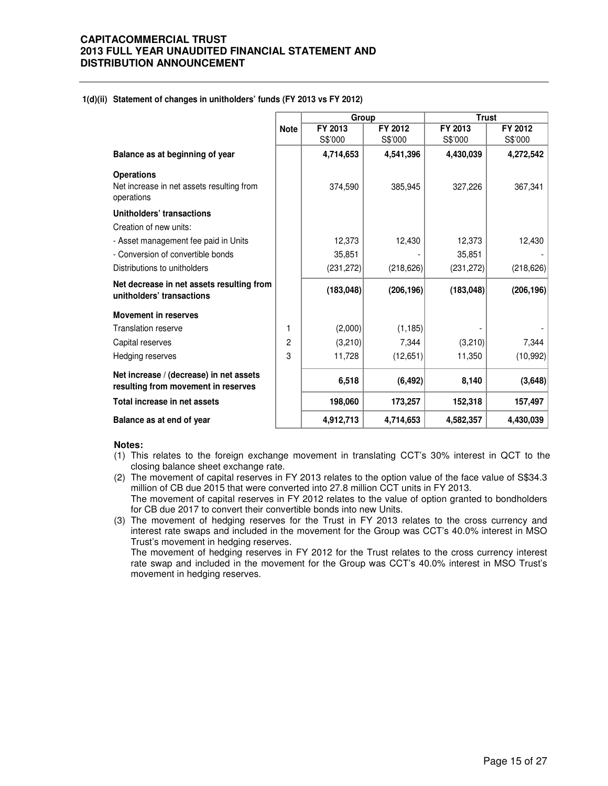#### **1(d)(ii) Statement of changes in unitholders' funds (FY 2013 vs FY 2012)**

|                                                                                |             | Group      |            | <b>Trust</b> |            |  |
|--------------------------------------------------------------------------------|-------------|------------|------------|--------------|------------|--|
|                                                                                | <b>Note</b> | FY 2013    | FY 2012    | FY 2013      | FY 2012    |  |
|                                                                                |             | S\$'000    | S\$'000    | S\$'000      | S\$'000    |  |
| Balance as at beginning of year                                                |             | 4,714,653  | 4,541,396  | 4,430,039    | 4,272,542  |  |
| <b>Operations</b>                                                              |             |            |            |              |            |  |
| Net increase in net assets resulting from<br>operations                        |             | 374,590    | 385,945    | 327,226      | 367,341    |  |
| Unitholders' transactions                                                      |             |            |            |              |            |  |
| Creation of new units:                                                         |             |            |            |              |            |  |
| - Asset management fee paid in Units                                           |             | 12,373     | 12,430     | 12,373       | 12,430     |  |
| - Conversion of convertible bonds                                              |             | 35,851     |            | 35,851       |            |  |
| Distributions to unitholders                                                   |             | (231, 272) | (218, 626) | (231, 272)   | (218, 626) |  |
| Net decrease in net assets resulting from<br>unitholders' transactions         |             | (183, 048) | (206, 196) | (183, 048)   | (206, 196) |  |
| <b>Movement in reserves</b>                                                    |             |            |            |              |            |  |
| <b>Translation reserve</b>                                                     | 1           | (2,000)    | (1, 185)   |              |            |  |
| Capital reserves                                                               | 2           | (3,210)    | 7,344      | (3,210)      | 7,344      |  |
| Hedging reserves                                                               | 3           | 11,728     | (12,651)   | 11,350       | (10, 992)  |  |
| Net increase / (decrease) in net assets<br>resulting from movement in reserves |             | 6,518      | (6, 492)   | 8,140        | (3,648)    |  |
| Total increase in net assets                                                   |             | 198,060    | 173,257    | 152,318      | 157,497    |  |
| Balance as at end of year                                                      |             | 4,912,713  | 4,714,653  | 4,582,357    | 4,430,039  |  |

#### **Notes:**

(1) This relates to the foreign exchange movement in translating CCT's 30% interest in QCT to the closing balance sheet exchange rate.

(2) The movement of capital reserves in FY 2013 relates to the option value of the face value of S\$34.3 million of CB due 2015 that were converted into 27.8 million CCT units in FY 2013. The movement of capital reserves in FY 2012 relates to the value of option granted to bondholders

for CB due 2017 to convert their convertible bonds into new Units. (3) The movement of hedging reserves for the Trust in FY 2013 relates to the cross currency and interest rate swaps and included in the movement for the Group was CCT's 40.0% interest in MSO Trust's movement in hedging reserves.

The movement of hedging reserves in FY 2012 for the Trust relates to the cross currency interest rate swap and included in the movement for the Group was CCT's 40.0% interest in MSO Trust's movement in hedging reserves.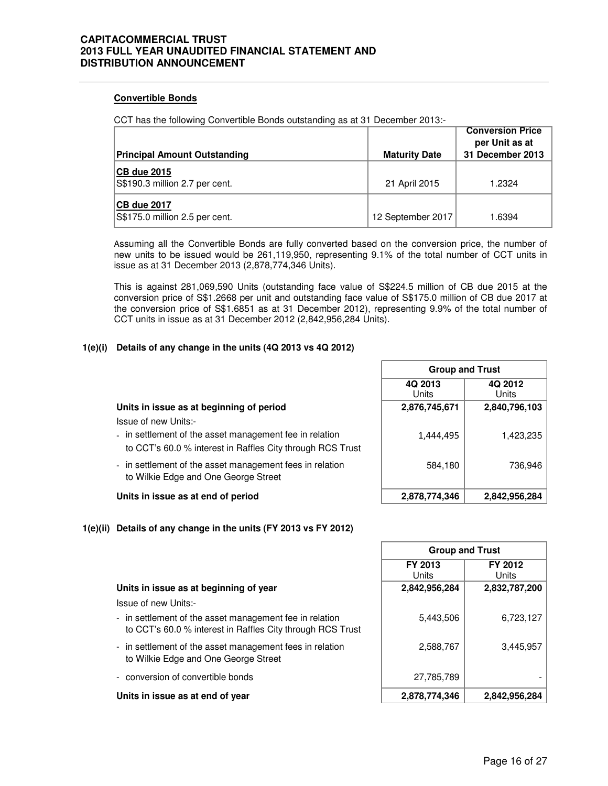## **Convertible Bonds**

CCT has the following Convertible Bonds outstanding as at 31 December 2013:-

| <b>Principal Amount Outstanding</b>                  | <b>Maturity Date</b> | <b>Conversion Price</b><br>per Unit as at<br>31 December 2013 |
|------------------------------------------------------|----------------------|---------------------------------------------------------------|
| <b>CB due 2015</b><br>S\$190.3 million 2.7 per cent. | 21 April 2015        | 1.2324                                                        |
| <b>CB due 2017</b><br>S\$175.0 million 2.5 per cent. | 12 September 2017    | 1.6394                                                        |

Assuming all the Convertible Bonds are fully converted based on the conversion price, the number of new units to be issued would be 261,119,950, representing 9.1% of the total number of CCT units in issue as at 31 December 2013 (2,878,774,346 Units).

This is against 281,069,590 Units (outstanding face value of S\$224.5 million of CB due 2015 at the conversion price of S\$1.2668 per unit and outstanding face value of S\$175.0 million of CB due 2017 at the conversion price of S\$1.6851 as at 31 December 2012), representing 9.9% of the total number of CCT units in issue as at 31 December 2012 (2,842,956,284 Units).

## **1(e)(i) Details of any change in the units (4Q 2013 vs 4Q 2012)**

|                                                                                                                                               | 4Q 2013<br>Units | 4Q 2012<br>Units |  |  |  |
|-----------------------------------------------------------------------------------------------------------------------------------------------|------------------|------------------|--|--|--|
| Units in issue as at beginning of period                                                                                                      | 2,876,745,671    | 2,840,796,103    |  |  |  |
| Issue of new Units:-<br>- in settlement of the asset management fee in relation<br>to CCT's 60.0 % interest in Raffles City through RCS Trust | 1,444,495        | 1,423,235        |  |  |  |
| - in settlement of the asset management fees in relation<br>to Wilkie Edge and One George Street                                              | 584,180          | 736.946          |  |  |  |
| Units in issue as at end of period                                                                                                            | 2,878,774,346    | 2,842,956,284    |  |  |  |

## **1(e)(ii) Details of any change in the units (FY 2013 vs FY 2012)**

| <b>Group and Trust</b> |                  |  |  |  |  |  |
|------------------------|------------------|--|--|--|--|--|
| FY 2013<br>l Jnits     | FY 2012<br>Units |  |  |  |  |  |
| 2,842,956,284          | 2,832,787,200    |  |  |  |  |  |
| 5,443,506              | 6,723,127        |  |  |  |  |  |
| 2,588,767              | 3,445,957        |  |  |  |  |  |
| 27,785,789             |                  |  |  |  |  |  |
| 2,878,774,346          | 2,842,956,284    |  |  |  |  |  |

**Group and Trust**

## **Units in issue as at beginning of year 2,842,956,284 2,832,787,200**

Issue of new Units:-

- in settlement of the asset management fee in relation to CCT's 60.0 % interest in Raffles City through RCS Trust
- in settlement of the asset management fees in relation to Wilkie Edge and One George Street
- conversion of convertible bonds

#### **Units in issue as at end of year 2,878,774,346 2,842,956,284**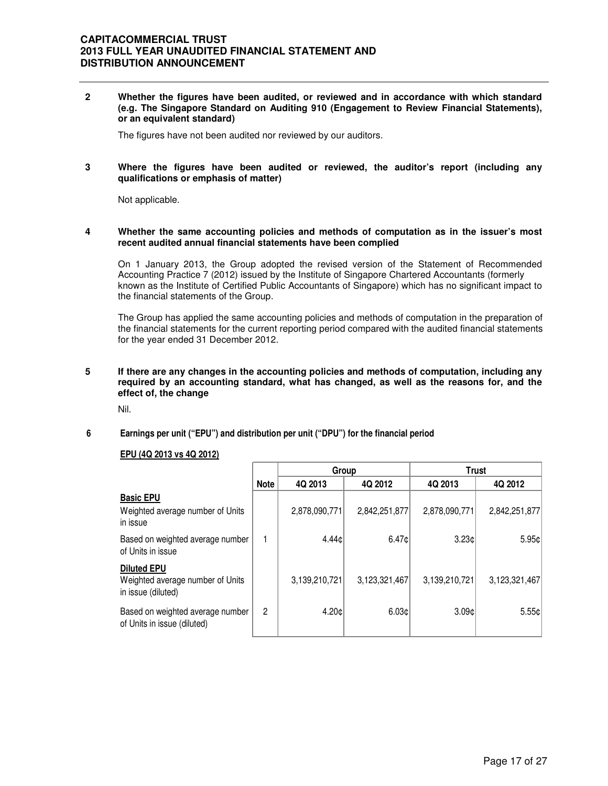**2 Whether the figures have been audited, or reviewed and in accordance with which standard (e.g. The Singapore Standard on Auditing 910 (Engagement to Review Financial Statements), or an equivalent standard)** 

The figures have not been audited nor reviewed by our auditors.

#### **3 Where the figures have been audited or reviewed, the auditor's report (including any qualifications or emphasis of matter)**

Not applicable.

#### **4 Whether the same accounting policies and methods of computation as in the issuer's most recent audited annual financial statements have been complied**

On 1 January 2013, the Group adopted the revised version of the Statement of Recommended Accounting Practice 7 (2012) issued by the Institute of Singapore Chartered Accountants (formerly known as the Institute of Certified Public Accountants of Singapore) which has no significant impact to the financial statements of the Group.

The Group has applied the same accounting policies and methods of computation in the preparation of the financial statements for the current reporting period compared with the audited financial statements for the year ended 31 December 2012.

#### **5 If there are any changes in the accounting policies and methods of computation, including any required by an accounting standard, what has changed, as well as the reasons for, and the effect of, the change**

Nil.

## **6 Earnings per unit ("EPU") and distribution per unit ("DPU") for the financial period**

#### **EPU (4Q 2013 vs 4Q 2012)**

|                                                                              |                | Group         |               | <b>Trust</b>  |                 |  |
|------------------------------------------------------------------------------|----------------|---------------|---------------|---------------|-----------------|--|
|                                                                              | <b>Note</b>    | 4Q 2013       | 4Q 2012       | 4Q 2013       | 4Q 2012         |  |
| <b>Basic EPU</b><br>Weighted average number of Units<br>in issue             |                | 2,878,090,771 | 2,842,251,877 | 2,878,090,771 | 2,842,251,877   |  |
| Based on weighted average number<br>of Units in issue                        |                | 4.44c         | 6.47c         | 3.23c         | 5.95c           |  |
| <b>Diluted EPU</b><br>Weighted average number of Units<br>in issue (diluted) |                | 3,139,210,721 | 3,123,321,467 | 3,139,210,721 | 3,123,321,467   |  |
| Based on weighted average number<br>of Units in issue (diluted)              | $\overline{2}$ | 4.20¢         | 6.03c         | 3.09c         | $5.55 \text{C}$ |  |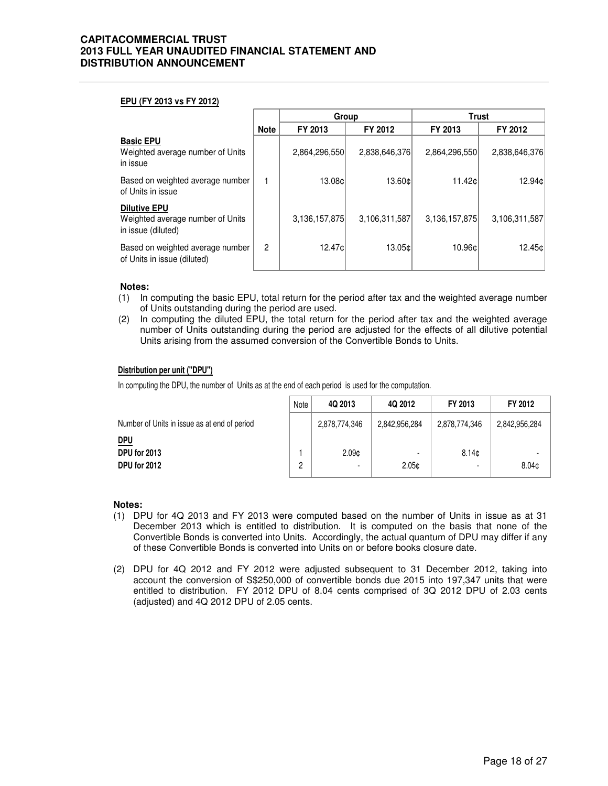#### **EPU (FY 2013 vs FY 2012)**

|                                                                               |                | Group         |               | <b>Trust</b>  |               |
|-------------------------------------------------------------------------------|----------------|---------------|---------------|---------------|---------------|
|                                                                               | <b>Note</b>    | FY 2013       | FY 2012       | FY 2013       | FY 2012       |
| <b>Basic EPU</b><br>Weighted average number of Units<br>in issue              |                | 2,864,296,550 | 2,838,646,376 | 2,864,296,550 | 2,838,646,376 |
| Based on weighted average number<br>of Units in issue                         |                | 13.08¢l       | 13.60¢        | 11.42c        | 12.94¢        |
| <b>Dilutive EPU</b><br>Weighted average number of Units<br>in issue (diluted) |                | 3,136,157,875 | 3,106,311,587 | 3,136,157,875 | 3,106,311,587 |
| Based on weighted average number<br>of Units in issue (diluted)               | $\overline{2}$ | 12.47¢l       | 13.05cl       | 10.96c        | 12.45¢        |

#### **Notes:**

- (1) In computing the basic EPU, total return for the period after tax and the weighted average number of Units outstanding during the period are used.
- (2) In computing the diluted EPU, the total return for the period after tax and the weighted average number of Units outstanding during the period are adjusted for the effects of all dilutive potential Units arising from the assumed conversion of the Convertible Bonds to Units.

#### **Distribution per unit ("DPU")**

In computing the DPU, the number of Units as at the end of each period is used for the computation.

|                                              | Note | 4Q 2013           | 4Q 2012       | FY 2013       | FY 2012           |
|----------------------------------------------|------|-------------------|---------------|---------------|-------------------|
| Number of Units in issue as at end of period |      | 2,878,774,346     | 2,842,956,284 | 2,878,774,346 | 2,842,956,284     |
| <u>DPU</u><br>DPU for 2013<br>DPU for 2012   | ŋ    | 2.09 <sub>c</sub> | 2.05c         | 8.14c         | 8.04 <sub>c</sub> |

#### **Notes:**

- (1) DPU for 4Q 2013 and FY 2013 were computed based on the number of Units in issue as at 31 December 2013 which is entitled to distribution. It is computed on the basis that none of the Convertible Bonds is converted into Units. Accordingly, the actual quantum of DPU may differ if any of these Convertible Bonds is converted into Units on or before books closure date.
- (2) DPU for 4Q 2012 and FY 2012 were adjusted subsequent to 31 December 2012, taking into account the conversion of S\$250,000 of convertible bonds due 2015 into 197,347 units that were entitled to distribution. FY 2012 DPU of 8.04 cents comprised of 3Q 2012 DPU of 2.03 cents (adjusted) and 4Q 2012 DPU of 2.05 cents.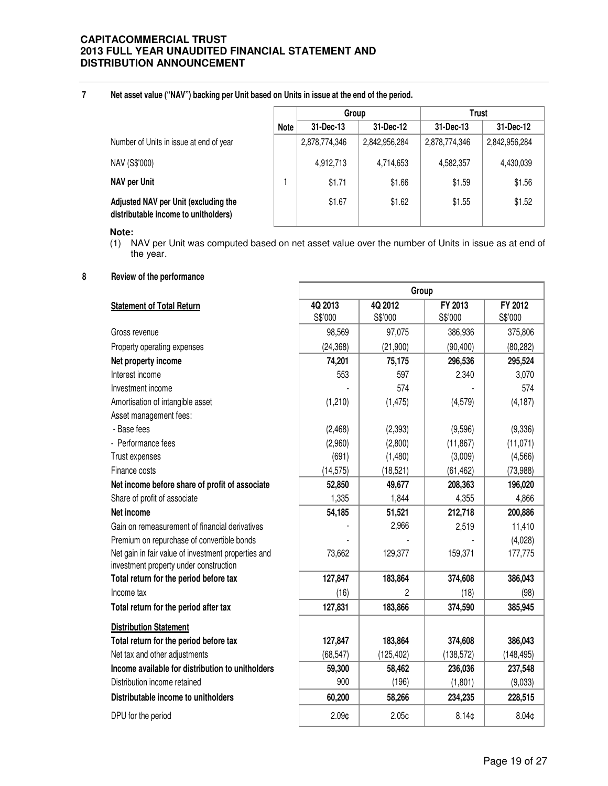**7**

**Net asset value ("NAV") backing per Unit based on Units in issue at the end of the period.**

|                                                                              |             | Group         |               | Trust         |               |
|------------------------------------------------------------------------------|-------------|---------------|---------------|---------------|---------------|
|                                                                              | <b>Note</b> | 31-Dec-13     | 31-Dec-12     | 31-Dec-13     | 31-Dec-12     |
| Number of Units in issue at end of year                                      |             | 2,878,774,346 | 2,842,956,284 | 2,878,774,346 | 2,842,956,284 |
| NAV (S\$'000)                                                                |             | 4,912,713     | 4,714,653     | 4,582,357     | 4,430,039     |
| <b>NAV per Unit</b>                                                          |             | \$1.71        | \$1.66        | \$1.59        | \$1.56        |
| Adjusted NAV per Unit (excluding the<br>distributable income to unitholders) |             | \$1.67        | \$1.62        | \$1.55        | \$1.52        |

**Note:**

(1) NAV per Unit was computed based on net asset value over the number of Units in issue as at end of the year.

Г

**8 Review of the performance**

|                                                     | Group     |                   |                   |                   |  |
|-----------------------------------------------------|-----------|-------------------|-------------------|-------------------|--|
| <b>Statement of Total Return</b>                    | 4Q 2013   | 4Q 2012           | FY 2013           | FY 2012           |  |
|                                                     | S\$'000   | S\$'000           | S\$'000           | S\$'000           |  |
| Gross revenue                                       | 98,569    | 97,075            | 386,936           | 375,806           |  |
| Property operating expenses                         | (24, 368) | (21,900)          | (90, 400)         | (80, 282)         |  |
| Net property income                                 | 74,201    | 75,175            | 296,536           | 295,524           |  |
| Interest income                                     | 553       | 597               | 2,340             | 3,070             |  |
| Investment income                                   |           | 574               |                   | 574               |  |
| Amortisation of intangible asset                    | (1,210)   | (1, 475)          | (4, 579)          | (4, 187)          |  |
| Asset management fees:                              |           |                   |                   |                   |  |
| - Base fees                                         | (2,468)   | (2, 393)          | (9,596)           | (9,336)           |  |
| - Performance fees                                  | (2,960)   | (2,800)           | (11, 867)         | (11, 071)         |  |
| Trust expenses                                      | (691)     | (1,480)           | (3,009)           | (4, 566)          |  |
| Finance costs                                       | (14, 575) | (18, 521)         | (61, 462)         | (73, 988)         |  |
| Net income before share of profit of associate      | 52,850    | 49,677            | 208,363           | 196,020           |  |
| Share of profit of associate                        | 1,335     | 1,844             | 4,355             | 4,866             |  |
| Net income                                          | 54,185    | 51,521            | 212,718           | 200,886           |  |
| Gain on remeasurement of financial derivatives      |           | 2,966             | 2,519             | 11,410            |  |
| Premium on repurchase of convertible bonds          |           |                   |                   | (4,028)           |  |
| Net gain in fair value of investment properties and | 73,662    | 129,377           | 159,371           | 177,775           |  |
| investment property under construction              |           |                   |                   |                   |  |
| Total return for the period before tax              | 127,847   | 183,864           | 374,608           | 386,043           |  |
| Income tax                                          | (16)      | 2                 | (18)              | (98)              |  |
| Total return for the period after tax               | 127,831   | 183,866           | 374,590           | 385,945           |  |
| <b>Distribution Statement</b>                       |           |                   |                   |                   |  |
| Total return for the period before tax              | 127,847   | 183,864           | 374,608           | 386,043           |  |
| Net tax and other adjustments                       | (68, 547) | (125, 402)        | (138, 572)        | (148, 495)        |  |
| Income available for distribution to unitholders    | 59,300    | 58,462            | 236,036           | 237,548           |  |
| Distribution income retained                        | 900       | (196)             | (1,801)           | (9,033)           |  |
| Distributable income to unitholders                 | 60,200    | 58,266            | 234,235           | 228,515           |  |
| DPU for the period                                  | 2.09¢     | 2.05 <sub>0</sub> | 8.14 <sub>0</sub> | 8.04 <sub>0</sub> |  |

٦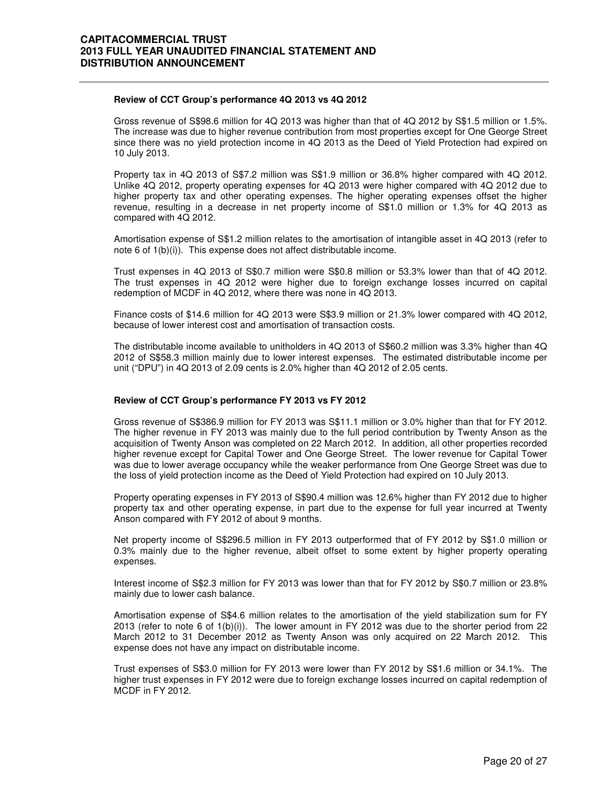#### **Review of CCT Group's performance 4Q 2013 vs 4Q 2012**

 Gross revenue of S\$98.6 million for 4Q 2013 was higher than that of 4Q 2012 by S\$1.5 million or 1.5%. The increase was due to higher revenue contribution from most properties except for One George Street since there was no yield protection income in 4Q 2013 as the Deed of Yield Protection had expired on 10 July 2013.

Property tax in 4Q 2013 of S\$7.2 million was S\$1.9 million or 36.8% higher compared with 4Q 2012. Unlike 4Q 2012, property operating expenses for 4Q 2013 were higher compared with 4Q 2012 due to higher property tax and other operating expenses. The higher operating expenses offset the higher revenue, resulting in a decrease in net property income of S\$1.0 million or 1.3% for 4Q 2013 as compared with 4Q 2012.

Amortisation expense of S\$1.2 million relates to the amortisation of intangible asset in 4Q 2013 (refer to note 6 of 1(b)(i)). This expense does not affect distributable income.

Trust expenses in 4Q 2013 of S\$0.7 million were S\$0.8 million or 53.3% lower than that of 4Q 2012. The trust expenses in 4Q 2012 were higher due to foreign exchange losses incurred on capital redemption of MCDF in 4Q 2012, where there was none in 4Q 2013.

Finance costs of \$14.6 million for 4Q 2013 were S\$3.9 million or 21.3% lower compared with 4Q 2012, because of lower interest cost and amortisation of transaction costs.

The distributable income available to unitholders in 4Q 2013 of S\$60.2 million was 3.3% higher than 4Q 2012 of S\$58.3 million mainly due to lower interest expenses. The estimated distributable income per unit ("DPU") in 4Q 2013 of 2.09 cents is 2.0% higher than 4Q 2012 of 2.05 cents.

#### **Review of CCT Group's performance FY 2013 vs FY 2012**

Gross revenue of S\$386.9 million for FY 2013 was S\$11.1 million or 3.0% higher than that for FY 2012. The higher revenue in FY 2013 was mainly due to the full period contribution by Twenty Anson as the acquisition of Twenty Anson was completed on 22 March 2012. In addition, all other properties recorded higher revenue except for Capital Tower and One George Street. The lower revenue for Capital Tower was due to lower average occupancy while the weaker performance from One George Street was due to the loss of yield protection income as the Deed of Yield Protection had expired on 10 July 2013.

Property operating expenses in FY 2013 of S\$90.4 million was 12.6% higher than FY 2012 due to higher property tax and other operating expense, in part due to the expense for full year incurred at Twenty Anson compared with FY 2012 of about 9 months.

Net property income of S\$296.5 million in FY 2013 outperformed that of FY 2012 by S\$1.0 million or 0.3% mainly due to the higher revenue, albeit offset to some extent by higher property operating expenses.

Interest income of S\$2.3 million for FY 2013 was lower than that for FY 2012 by S\$0.7 million or 23.8% mainly due to lower cash balance.

Amortisation expense of S\$4.6 million relates to the amortisation of the yield stabilization sum for FY 2013 (refer to note 6 of 1(b)(i)). The lower amount in FY 2012 was due to the shorter period from 22 March 2012 to 31 December 2012 as Twenty Anson was only acquired on 22 March 2012. This expense does not have any impact on distributable income.

Trust expenses of S\$3.0 million for FY 2013 were lower than FY 2012 by S\$1.6 million or 34.1%. The higher trust expenses in FY 2012 were due to foreign exchange losses incurred on capital redemption of MCDF in FY 2012.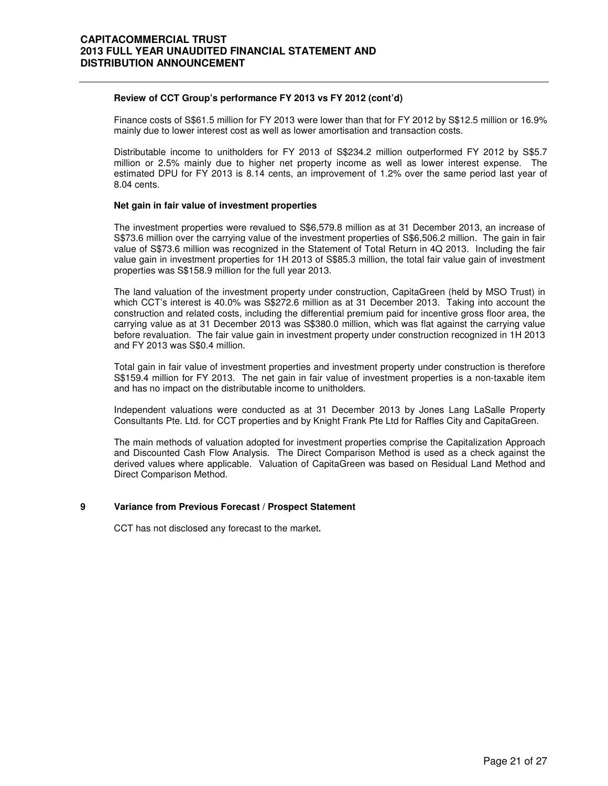#### **Review of CCT Group's performance FY 2013 vs FY 2012 (cont'd)**

Finance costs of S\$61.5 million for FY 2013 were lower than that for FY 2012 by S\$12.5 million or 16.9% mainly due to lower interest cost as well as lower amortisation and transaction costs.

Distributable income to unitholders for FY 2013 of S\$234.2 million outperformed FY 2012 by S\$5.7 million or 2.5% mainly due to higher net property income as well as lower interest expense. The estimated DPU for FY 2013 is 8.14 cents, an improvement of 1.2% over the same period last year of 8.04 cents.

#### **Net gain in fair value of investment properties**

The investment properties were revalued to S\$6,579.8 million as at 31 December 2013, an increase of S\$73.6 million over the carrying value of the investment properties of S\$6,506.2 million. The gain in fair value of S\$73.6 million was recognized in the Statement of Total Return in 4Q 2013. Including the fair value gain in investment properties for 1H 2013 of S\$85.3 million, the total fair value gain of investment properties was S\$158.9 million for the full year 2013.

The land valuation of the investment property under construction, CapitaGreen (held by MSO Trust) in which CCT's interest is 40.0% was S\$272.6 million as at 31 December 2013. Taking into account the construction and related costs, including the differential premium paid for incentive gross floor area, the carrying value as at 31 December 2013 was S\$380.0 million, which was flat against the carrying value before revaluation. The fair value gain in investment property under construction recognized in 1H 2013 and FY 2013 was S\$0.4 million.

Total gain in fair value of investment properties and investment property under construction is therefore S\$159.4 million for FY 2013. The net gain in fair value of investment properties is a non-taxable item and has no impact on the distributable income to unitholders.

Independent valuations were conducted as at 31 December 2013 by Jones Lang LaSalle Property Consultants Pte. Ltd. for CCT properties and by Knight Frank Pte Ltd for Raffles City and CapitaGreen.

The main methods of valuation adopted for investment properties comprise the Capitalization Approach and Discounted Cash Flow Analysis. The Direct Comparison Method is used as a check against the derived values where applicable. Valuation of CapitaGreen was based on Residual Land Method and Direct Comparison Method.

## **9 Variance from Previous Forecast / Prospect Statement**

CCT has not disclosed any forecast to the market**.**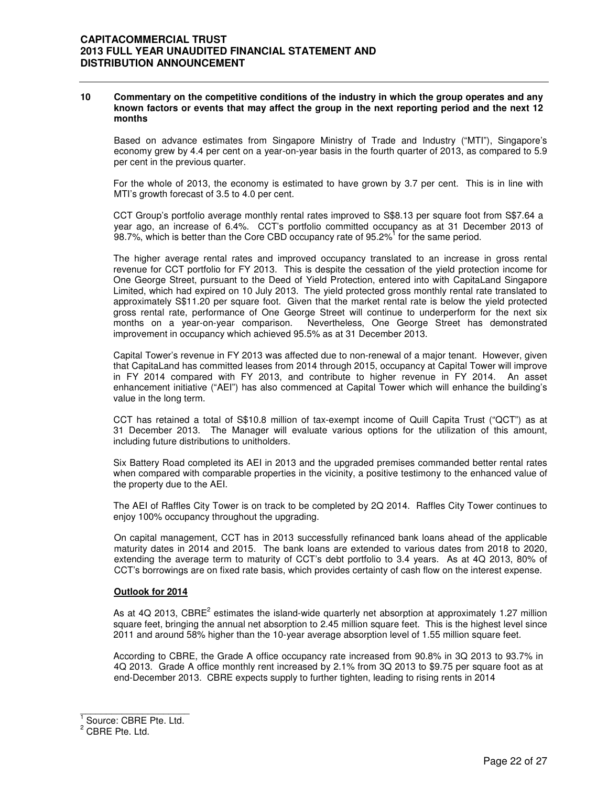#### **10 Commentary on the competitive conditions of the industry in which the group operates and any known factors or events that may affect the group in the next reporting period and the next 12 months**

Based on advance estimates from Singapore Ministry of Trade and Industry ("MTI"), Singapore's economy grew by 4.4 per cent on a year-on-year basis in the fourth quarter of 2013, as compared to 5.9 per cent in the previous quarter.

For the whole of 2013, the economy is estimated to have grown by 3.7 per cent. This is in line with MTI's growth forecast of 3.5 to 4.0 per cent.

CCT Group's portfolio average monthly rental rates improved to S\$8.13 per square foot from S\$7.64 a year ago, an increase of 6.4%. CCT's portfolio committed occupancy as at 31 December 2013 of 98.7%, which is better than the Core CBD occupancy rate of 95.2%<sup>1</sup> for the same period.

The higher average rental rates and improved occupancy translated to an increase in gross rental revenue for CCT portfolio for FY 2013. This is despite the cessation of the yield protection income for One George Street, pursuant to the Deed of Yield Protection, entered into with CapitaLand Singapore Limited, which had expired on 10 July 2013. The yield protected gross monthly rental rate translated to approximately S\$11.20 per square foot. Given that the market rental rate is below the yield protected gross rental rate, performance of One George Street will continue to underperform for the next six months on a year-on-year comparison. Nevertheless, One George Street has demonstrated improvement in occupancy which achieved 95.5% as at 31 December 2013.

Capital Tower's revenue in FY 2013 was affected due to non-renewal of a major tenant. However, given that CapitaLand has committed leases from 2014 through 2015, occupancy at Capital Tower will improve in FY 2014 compared with FY 2013, and contribute to higher revenue in FY 2014. An asset enhancement initiative ("AEI") has also commenced at Capital Tower which will enhance the building's value in the long term.

CCT has retained a total of S\$10.8 million of tax-exempt income of Quill Capita Trust ("QCT") as at 31 December 2013. The Manager will evaluate various options for the utilization of this amount, including future distributions to unitholders.

Six Battery Road completed its AEI in 2013 and the upgraded premises commanded better rental rates when compared with comparable properties in the vicinity, a positive testimony to the enhanced value of the property due to the AEI.

The AEI of Raffles City Tower is on track to be completed by 2Q 2014. Raffles City Tower continues to enjoy 100% occupancy throughout the upgrading.

On capital management, CCT has in 2013 successfully refinanced bank loans ahead of the applicable maturity dates in 2014 and 2015. The bank loans are extended to various dates from 2018 to 2020, extending the average term to maturity of CCT's debt portfolio to 3.4 years. As at 4Q 2013, 80% of CCT's borrowings are on fixed rate basis, which provides certainty of cash flow on the interest expense.

#### **Outlook for 2014**

As at 4Q 2013, CBRE<sup>2</sup> estimates the island-wide quarterly net absorption at approximately 1.27 million square feet, bringing the annual net absorption to 2.45 million square feet. This is the highest level since 2011 and around 58% higher than the 10-year average absorption level of 1.55 million square feet.

According to CBRE, the Grade A office occupancy rate increased from 90.8% in 3Q 2013 to 93.7% in 4Q 2013. Grade A office monthly rent increased by 2.1% from 3Q 2013 to \$9.75 per square foot as at end-December 2013. CBRE expects supply to further tighten, leading to rising rents in 2014

<sup>1&</sup>lt;br><sup>1</sup> Source: CBRE Pte. Ltd.

<sup>&</sup>lt;sup>2</sup> CBRE Pte. Ltd.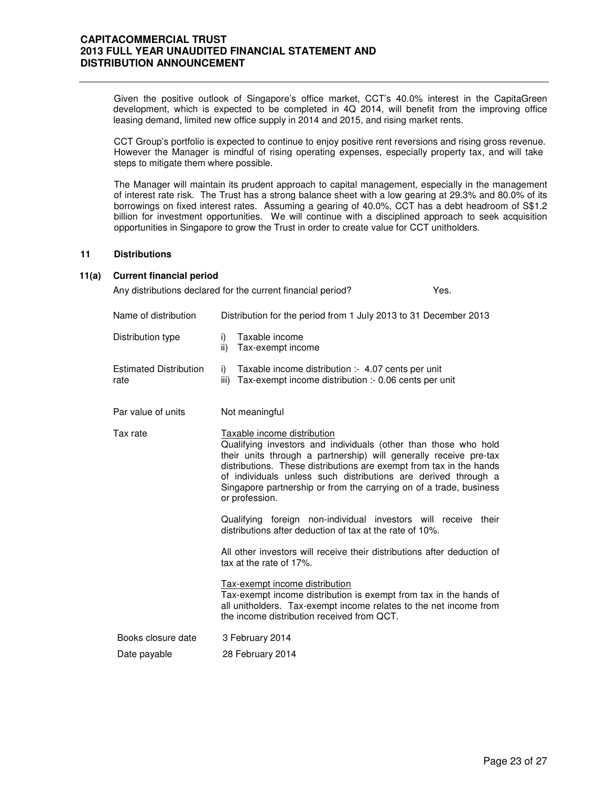Given the positive outlook of Singapore's office market, CCT's 40.0% interest in the CapitaGreen development, which is expected to be completed in 4Q 2014, will benefit from the improving office leasing demand, limited new office supply in 2014 and 2015, and rising market rents.

CCT Group's portfolio is expected to continue to enjoy positive rent reversions and rising gross revenue. However the Manager is mindful of rising operating expenses, especially property tax, and will take steps to mitigate them where possible.

The Manager will maintain its prudent approach to capital management, especially in the management of interest rate risk. The Trust has a strong balance sheet with a low gearing at 29.3% and 80.0% of its borrowings on fixed interest rates. Assuming a gearing of 40.0%, CCT has a debt headroom of S\$1.2 billion for investment opportunities. We will continue with a disciplined approach to seek acquisition opportunities in Singapore to grow the Trust in order to create value for CCT unitholders.

#### **11 Distributions**

#### **11(a) Current financial period**

Any distributions declared for the current financial period? Yes.

| Name of distribution                  | Distribution for the period from 1 July 2013 to 31 December 2013                                                                                                                                                                                                                                                                                                                                     |
|---------------------------------------|------------------------------------------------------------------------------------------------------------------------------------------------------------------------------------------------------------------------------------------------------------------------------------------------------------------------------------------------------------------------------------------------------|
| Distribution type                     | Taxable income<br>i)<br>ii)<br>Tax-exempt income                                                                                                                                                                                                                                                                                                                                                     |
| <b>Estimated Distribution</b><br>rate | Taxable income distribution :- 4.07 cents per unit<br>i)<br>Tax-exempt income distribution :- 0.06 cents per unit<br>iii)                                                                                                                                                                                                                                                                            |
| Par value of units                    | Not meaningful                                                                                                                                                                                                                                                                                                                                                                                       |
| Tax rate                              | Taxable income distribution<br>Qualifying investors and individuals (other than those who hold<br>their units through a partnership) will generally receive pre-tax<br>distributions. These distributions are exempt from tax in the hands<br>of individuals unless such distributions are derived through a<br>Singapore partnership or from the carrying on of a trade, business<br>or profession. |
|                                       | Qualifying foreign non-individual investors will receive their<br>distributions after deduction of tax at the rate of 10%.                                                                                                                                                                                                                                                                           |
|                                       | All other investors will receive their distributions after deduction of<br>tax at the rate of 17%.                                                                                                                                                                                                                                                                                                   |
|                                       | Tax-exempt income distribution<br>Tax-exempt income distribution is exempt from tax in the hands of<br>all unitholders. Tax-exempt income relates to the net income from<br>the income distribution received from QCT.                                                                                                                                                                               |
| Books closure date                    | 3 February 2014                                                                                                                                                                                                                                                                                                                                                                                      |
| Date payable                          | 28 February 2014                                                                                                                                                                                                                                                                                                                                                                                     |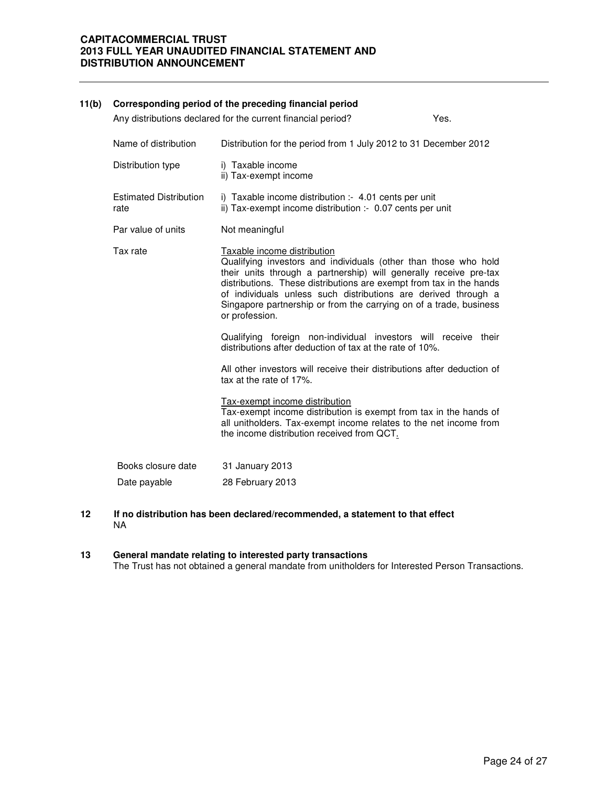| 11(b) |                                       | Corresponding period of the preceding financial period                                                                                                                                                                                                                                                                                                                                               |      |
|-------|---------------------------------------|------------------------------------------------------------------------------------------------------------------------------------------------------------------------------------------------------------------------------------------------------------------------------------------------------------------------------------------------------------------------------------------------------|------|
|       |                                       | Any distributions declared for the current financial period?                                                                                                                                                                                                                                                                                                                                         | Yes. |
|       | Name of distribution                  | Distribution for the period from 1 July 2012 to 31 December 2012                                                                                                                                                                                                                                                                                                                                     |      |
|       | Distribution type                     | i) Taxable income<br>ii) Tax-exempt income                                                                                                                                                                                                                                                                                                                                                           |      |
|       | <b>Estimated Distribution</b><br>rate | i) Taxable income distribution :- 4.01 cents per unit<br>ii) Tax-exempt income distribution :- 0.07 cents per unit                                                                                                                                                                                                                                                                                   |      |
|       | Par value of units                    | Not meaningful                                                                                                                                                                                                                                                                                                                                                                                       |      |
|       | Tax rate                              | Taxable income distribution<br>Qualifying investors and individuals (other than those who hold<br>their units through a partnership) will generally receive pre-tax<br>distributions. These distributions are exempt from tax in the hands<br>of individuals unless such distributions are derived through a<br>Singapore partnership or from the carrying on of a trade, business<br>or profession. |      |
|       |                                       | Qualifying foreign non-individual investors will receive their<br>distributions after deduction of tax at the rate of 10%.                                                                                                                                                                                                                                                                           |      |
|       |                                       | All other investors will receive their distributions after deduction of<br>tax at the rate of 17%.                                                                                                                                                                                                                                                                                                   |      |
|       |                                       | Tax-exempt income distribution<br>Tax-exempt income distribution is exempt from tax in the hands of<br>all unitholders. Tax-exempt income relates to the net income from<br>the income distribution received from QCT.                                                                                                                                                                               |      |
|       | Books closure date                    | 31 January 2013                                                                                                                                                                                                                                                                                                                                                                                      |      |
|       | Date payable                          | 28 February 2013                                                                                                                                                                                                                                                                                                                                                                                     |      |
|       |                                       |                                                                                                                                                                                                                                                                                                                                                                                                      |      |

**12 If no distribution has been declared/recommended, a statement to that effect**  NA

#### **13 General mandate relating to interested party transactions** The Trust has not obtained a general mandate from unitholders for Interested Person Transactions.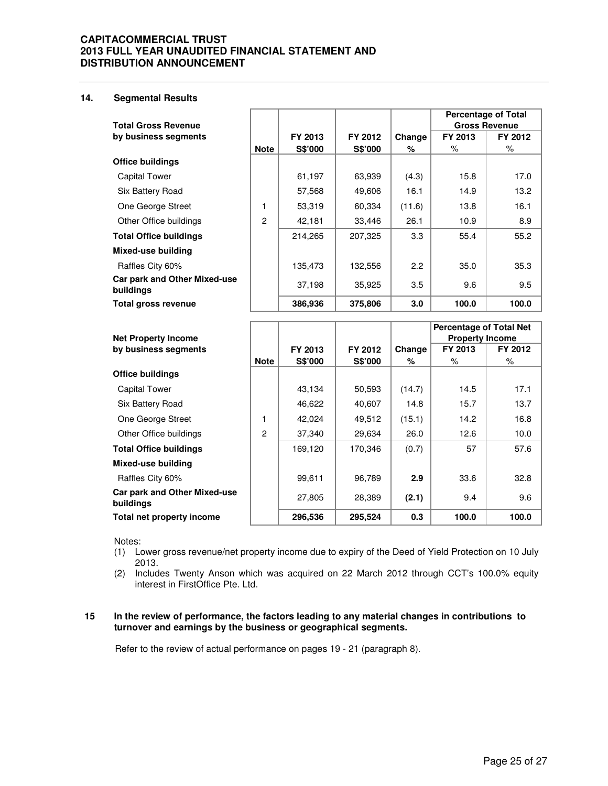## **14. Segmental Results**

|                                           |                |                |                |        | <b>Percentage of Total</b> |                      |
|-------------------------------------------|----------------|----------------|----------------|--------|----------------------------|----------------------|
| <b>Total Gross Revenue</b>                |                |                |                |        |                            | <b>Gross Revenue</b> |
| by business segments                      |                | FY 2013        | FY 2012        | Change | FY 2013                    | FY 2012              |
|                                           | <b>Note</b>    | <b>S\$'000</b> | <b>S\$'000</b> | %      | ℅                          | %                    |
| <b>Office buildings</b>                   |                |                |                |        |                            |                      |
| <b>Capital Tower</b>                      |                | 61,197         | 63,939         | (4.3)  | 15.8                       | 17.0                 |
| Six Battery Road                          |                | 57,568         | 49,606         | 16.1   | 14.9                       | 13.2                 |
| One George Street                         | 1              | 53,319         | 60,334         | (11.6) | 13.8                       | 16.1                 |
| Other Office buildings                    | $\overline{c}$ | 42,181         | 33,446         | 26.1   | 10.9                       | 8.9                  |
| <b>Total Office buildings</b>             |                | 214,265        | 207,325        | 3.3    | 55.4                       | 55.2                 |
| Mixed-use building                        |                |                |                |        |                            |                      |
| Raffles City 60%                          |                | 135,473        | 132,556        | 2.2    | 35.0                       | 35.3                 |
| Car park and Other Mixed-use<br>buildings |                | 37,198         | 35,925         | 3.5    | 9.6                        | 9.5                  |
| Total gross revenue                       |                | 386,936        | 375,806        | 3.0    | 100.0                      | 100.0                |

|                                           |             |                |                |        | <b>Percentage of Total Net</b> |         |
|-------------------------------------------|-------------|----------------|----------------|--------|--------------------------------|---------|
| <b>Net Property Income</b>                |             |                |                |        | <b>Property Income</b>         |         |
| by business segments                      |             | FY 2013        | FY 2012        | Change | FY 2013                        | FY 2012 |
|                                           | <b>Note</b> | <b>S\$'000</b> | <b>S\$'000</b> | %      | %                              | %       |
| <b>Office buildings</b>                   |             |                |                |        |                                |         |
| <b>Capital Tower</b>                      |             | 43,134         | 50,593         | (14.7) | 14.5                           | 17.1    |
| Six Battery Road                          |             | 46,622         | 40,607         | 14.8   | 15.7                           | 13.7    |
| One George Street                         | 1           | 42.024         | 49,512         | (15.1) | 14.2                           | 16.8    |
| Other Office buildings                    | 2           | 37,340         | 29,634         | 26.0   | 12.6                           | 10.0    |
| <b>Total Office buildings</b>             |             | 169,120        | 170.346        | (0.7)  | 57                             | 57.6    |
| Mixed-use building                        |             |                |                |        |                                |         |
| Raffles City 60%                          |             | 99,611         | 96,789         | 2.9    | 33.6                           | 32.8    |
| Car park and Other Mixed-use<br>buildings |             | 27,805         | 28,389         | (2.1)  | 9.4                            | 9.6     |
| Total net property income                 |             | 296,536        | 295,524        | 0.3    | 100.0                          | 100.0   |

Notes:

(1) Lower gross revenue/net property income due to expiry of the Deed of Yield Protection on 10 July 2013.

(2) Includes Twenty Anson which was acquired on 22 March 2012 through CCT's 100.0% equity interest in FirstOffice Pte. Ltd.

#### **15 In the review of performance, the factors leading to any material changes in contributions to turnover and earnings by the business or geographical segments.**

Refer to the review of actual performance on pages 19 - 21 (paragraph 8).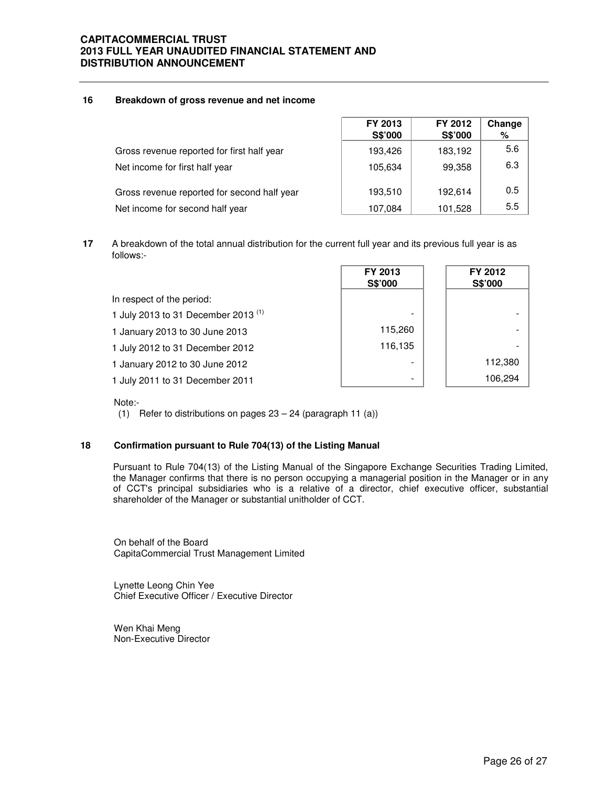#### **16 Breakdown of gross revenue and net income**

|                                             | FY 2013<br>S\$'000 | FY 2012<br><b>S\$'000</b> | Change<br>% |
|---------------------------------------------|--------------------|---------------------------|-------------|
| Gross revenue reported for first half year  | 193,426            | 183,192                   | 5.6         |
| Net income for first half year              | 105,634            | 99,358                    | 6.3         |
| Gross revenue reported for second half year | 193,510            | 192.614                   | 0.5         |
| Net income for second half year             | 107,084            | 101,528                   | 5.5         |

**17** A breakdown of the total annual distribution for the current full year and its previous full year is as follows:-

|                                          | FY 2013<br>S\$'000 | FY 2012<br>S\$'000 |
|------------------------------------------|--------------------|--------------------|
| In respect of the period:                |                    |                    |
| 1 July 2013 to 31 December 2013 $^{(1)}$ |                    |                    |
| 1 January 2013 to 30 June 2013           | 115,260            |                    |
| 1 July 2012 to 31 December 2012          | 116,135            |                    |
| 1 January 2012 to 30 June 2012           |                    | 112,380            |
| 1 July 2011 to 31 December 2011          |                    | 106,294            |

#### Note:-

(1) Refer to distributions on pages 23 – 24 (paragraph 11 (a))

## **18 Confirmation pursuant to Rule 704(13) of the Listing Manual**

Pursuant to Rule 704(13) of the Listing Manual of the Singapore Exchange Securities Trading Limited, the Manager confirms that there is no person occupying a managerial position in the Manager or in any of CCT's principal subsidiaries who is a relative of a director, chief executive officer, substantial shareholder of the Manager or substantial unitholder of CCT.

On behalf of the Board CapitaCommercial Trust Management Limited

Lynette Leong Chin Yee Chief Executive Officer / Executive Director

Wen Khai Meng Non-Executive Director